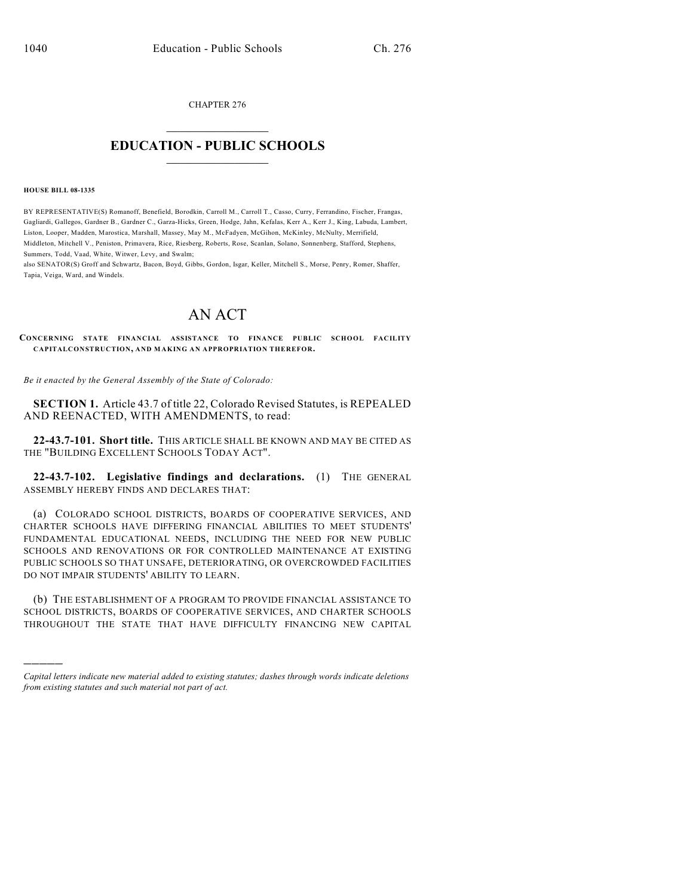CHAPTER 276  $\overline{\phantom{a}}$  . The set of the set of the set of the set of the set of the set of the set of the set of the set of the set of the set of the set of the set of the set of the set of the set of the set of the set of the set o

## **EDUCATION - PUBLIC SCHOOLS**  $\_$   $\_$   $\_$   $\_$   $\_$   $\_$   $\_$   $\_$   $\_$

#### **HOUSE BILL 08-1335**

)))))

BY REPRESENTATIVE(S) Romanoff, Benefield, Borodkin, Carroll M., Carroll T., Casso, Curry, Ferrandino, Fischer, Frangas, Gagliardi, Gallegos, Gardner B., Gardner C., Garza-Hicks, Green, Hodge, Jahn, Kefalas, Kerr A., Kerr J., King, Labuda, Lambert, Liston, Looper, Madden, Marostica, Marshall, Massey, May M., McFadyen, McGihon, McKinley, McNulty, Merrifield, Middleton, Mitchell V., Peniston, Primavera, Rice, Riesberg, Roberts, Rose, Scanlan, Solano, Sonnenberg, Stafford, Stephens, Summers, Todd, Vaad, White, Witwer, Levy, and Swalm;

also SENATOR(S) Groff and Schwartz, Bacon, Boyd, Gibbs, Gordon, Isgar, Keller, Mitchell S., Morse, Penry, Romer, Shaffer, Tapia, Veiga, Ward, and Windels.

# AN ACT

**CONCERNING STATE FINANCIAL ASSISTANCE TO FINANCE PUBLIC SCHOOL FACILITY CAPITALCONSTRUCTION, AND MAKING AN APPROPRIATION THEREFOR.**

*Be it enacted by the General Assembly of the State of Colorado:*

**SECTION 1.** Article 43.7 of title 22, Colorado Revised Statutes, is REPEALED AND REENACTED, WITH AMENDMENTS, to read:

**22-43.7-101. Short title.** THIS ARTICLE SHALL BE KNOWN AND MAY BE CITED AS THE "BUILDING EXCELLENT SCHOOLS TODAY ACT".

**22-43.7-102. Legislative findings and declarations.** (1) THE GENERAL ASSEMBLY HEREBY FINDS AND DECLARES THAT:

(a) COLORADO SCHOOL DISTRICTS, BOARDS OF COOPERATIVE SERVICES, AND CHARTER SCHOOLS HAVE DIFFERING FINANCIAL ABILITIES TO MEET STUDENTS' FUNDAMENTAL EDUCATIONAL NEEDS, INCLUDING THE NEED FOR NEW PUBLIC SCHOOLS AND RENOVATIONS OR FOR CONTROLLED MAINTENANCE AT EXISTING PUBLIC SCHOOLS SO THAT UNSAFE, DETERIORATING, OR OVERCROWDED FACILITIES DO NOT IMPAIR STUDENTS' ABILITY TO LEARN.

(b) THE ESTABLISHMENT OF A PROGRAM TO PROVIDE FINANCIAL ASSISTANCE TO SCHOOL DISTRICTS, BOARDS OF COOPERATIVE SERVICES, AND CHARTER SCHOOLS THROUGHOUT THE STATE THAT HAVE DIFFICULTY FINANCING NEW CAPITAL

*Capital letters indicate new material added to existing statutes; dashes through words indicate deletions from existing statutes and such material not part of act.*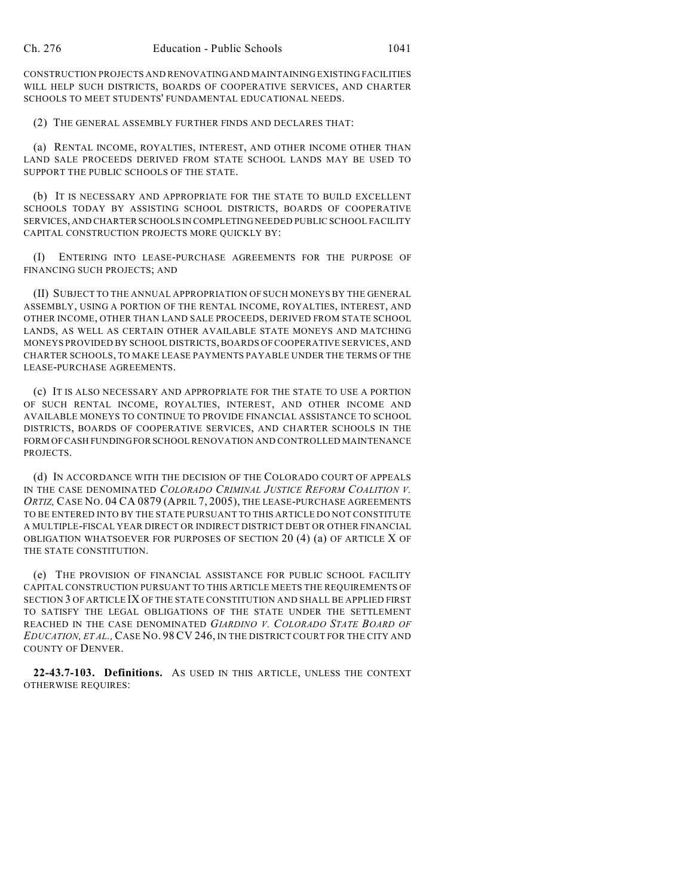CONSTRUCTION PROJECTS AND RENOVATING AND MAINTAINING EXISTING FACILITIES WILL HELP SUCH DISTRICTS, BOARDS OF COOPERATIVE SERVICES, AND CHARTER SCHOOLS TO MEET STUDENTS' FUNDAMENTAL EDUCATIONAL NEEDS.

(2) THE GENERAL ASSEMBLY FURTHER FINDS AND DECLARES THAT:

(a) RENTAL INCOME, ROYALTIES, INTEREST, AND OTHER INCOME OTHER THAN LAND SALE PROCEEDS DERIVED FROM STATE SCHOOL LANDS MAY BE USED TO SUPPORT THE PUBLIC SCHOOLS OF THE STATE.

(b) IT IS NECESSARY AND APPROPRIATE FOR THE STATE TO BUILD EXCELLENT SCHOOLS TODAY BY ASSISTING SCHOOL DISTRICTS, BOARDS OF COOPERATIVE SERVICES, AND CHARTER SCHOOLS IN COMPLETING NEEDED PUBLIC SCHOOL FACILITY CAPITAL CONSTRUCTION PROJECTS MORE QUICKLY BY:

(I) ENTERING INTO LEASE-PURCHASE AGREEMENTS FOR THE PURPOSE OF FINANCING SUCH PROJECTS; AND

(II) SUBJECT TO THE ANNUAL APPROPRIATION OF SUCH MONEYS BY THE GENERAL ASSEMBLY, USING A PORTION OF THE RENTAL INCOME, ROYALTIES, INTEREST, AND OTHER INCOME, OTHER THAN LAND SALE PROCEEDS, DERIVED FROM STATE SCHOOL LANDS, AS WELL AS CERTAIN OTHER AVAILABLE STATE MONEYS AND MATCHING MONEYS PROVIDED BY SCHOOL DISTRICTS, BOARDS OF COOPERATIVE SERVICES, AND CHARTER SCHOOLS, TO MAKE LEASE PAYMENTS PAYABLE UNDER THE TERMS OF THE LEASE-PURCHASE AGREEMENTS.

(c) IT IS ALSO NECESSARY AND APPROPRIATE FOR THE STATE TO USE A PORTION OF SUCH RENTAL INCOME, ROYALTIES, INTEREST, AND OTHER INCOME AND AVAILABLE MONEYS TO CONTINUE TO PROVIDE FINANCIAL ASSISTANCE TO SCHOOL DISTRICTS, BOARDS OF COOPERATIVE SERVICES, AND CHARTER SCHOOLS IN THE FORM OF CASH FUNDING FOR SCHOOL RENOVATION AND CONTROLLED MAINTENANCE PROJECTS.

(d) IN ACCORDANCE WITH THE DECISION OF THE COLORADO COURT OF APPEALS IN THE CASE DENOMINATED *COLORADO CRIMINAL JUSTICE REFORM COALITION V. ORTIZ,* CASE NO. 04 CA 0879 (APRIL 7, 2005), THE LEASE-PURCHASE AGREEMENTS TO BE ENTERED INTO BY THE STATE PURSUANT TO THIS ARTICLE DO NOT CONSTITUTE A MULTIPLE-FISCAL YEAR DIRECT OR INDIRECT DISTRICT DEBT OR OTHER FINANCIAL OBLIGATION WHATSOEVER FOR PURPOSES OF SECTION 20 (4) (a) OF ARTICLE X OF THE STATE CONSTITUTION.

(e) THE PROVISION OF FINANCIAL ASSISTANCE FOR PUBLIC SCHOOL FACILITY CAPITAL CONSTRUCTION PURSUANT TO THIS ARTICLE MEETS THE REQUIREMENTS OF SECTION 3 OF ARTICLE IX OF THE STATE CONSTITUTION AND SHALL BE APPLIED FIRST TO SATISFY THE LEGAL OBLIGATIONS OF THE STATE UNDER THE SETTLEMENT REACHED IN THE CASE DENOMINATED *GIARDINO V. COLORADO STATE BOARD OF EDUCATION, ET AL.,*CASE NO. 98 CV 246, IN THE DISTRICT COURT FOR THE CITY AND COUNTY OF DENVER.

**22-43.7-103. Definitions.** AS USED IN THIS ARTICLE, UNLESS THE CONTEXT OTHERWISE REQUIRES: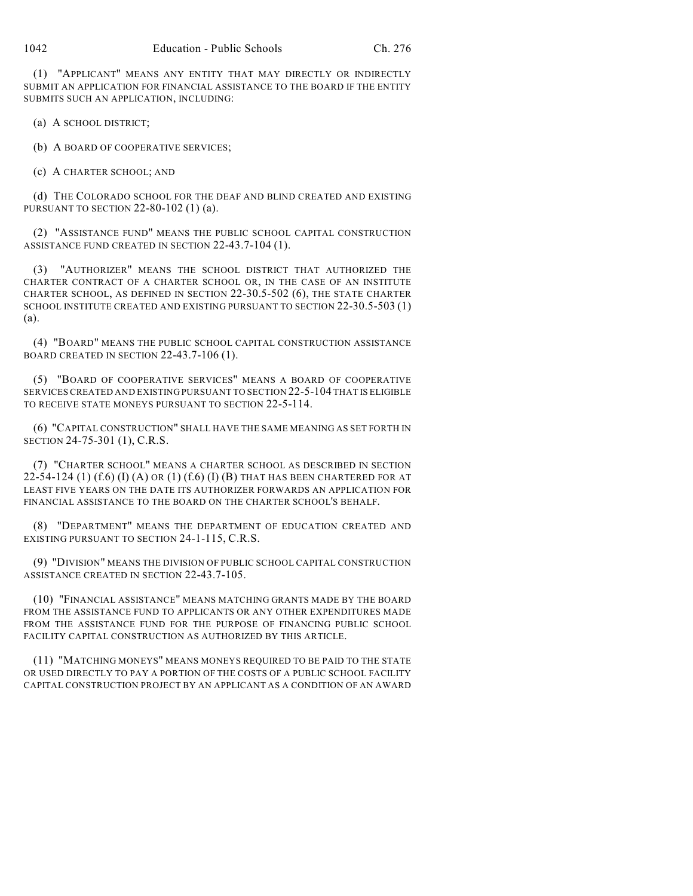(1) "APPLICANT" MEANS ANY ENTITY THAT MAY DIRECTLY OR INDIRECTLY SUBMIT AN APPLICATION FOR FINANCIAL ASSISTANCE TO THE BOARD IF THE ENTITY SUBMITS SUCH AN APPLICATION, INCLUDING:

(a) A SCHOOL DISTRICT;

(b) A BOARD OF COOPERATIVE SERVICES;

(c) A CHARTER SCHOOL; AND

(d) THE COLORADO SCHOOL FOR THE DEAF AND BLIND CREATED AND EXISTING PURSUANT TO SECTION 22-80-102 (1) (a).

(2) "ASSISTANCE FUND" MEANS THE PUBLIC SCHOOL CAPITAL CONSTRUCTION ASSISTANCE FUND CREATED IN SECTION 22-43.7-104 (1).

(3) "AUTHORIZER" MEANS THE SCHOOL DISTRICT THAT AUTHORIZED THE CHARTER CONTRACT OF A CHARTER SCHOOL OR, IN THE CASE OF AN INSTITUTE CHARTER SCHOOL, AS DEFINED IN SECTION 22-30.5-502 (6), THE STATE CHARTER SCHOOL INSTITUTE CREATED AND EXISTING PURSUANT TO SECTION 22-30.5-503 (1) (a).

(4) "BOARD" MEANS THE PUBLIC SCHOOL CAPITAL CONSTRUCTION ASSISTANCE BOARD CREATED IN SECTION 22-43.7-106 (1).

(5) "BOARD OF COOPERATIVE SERVICES" MEANS A BOARD OF COOPERATIVE SERVICES CREATED AND EXISTING PURSUANT TO SECTION 22-5-104 THAT IS ELIGIBLE TO RECEIVE STATE MONEYS PURSUANT TO SECTION 22-5-114.

(6) "CAPITAL CONSTRUCTION" SHALL HAVE THE SAME MEANING AS SET FORTH IN SECTION 24-75-301 (1), C.R.S.

(7) "CHARTER SCHOOL" MEANS A CHARTER SCHOOL AS DESCRIBED IN SECTION 22-54-124 (1)  $(f.6)$  (I)  $(A)$  or  $(1)$   $(f.6)$  (I)  $(B)$  that has been chartered for at LEAST FIVE YEARS ON THE DATE ITS AUTHORIZER FORWARDS AN APPLICATION FOR FINANCIAL ASSISTANCE TO THE BOARD ON THE CHARTER SCHOOL'S BEHALF.

(8) "DEPARTMENT" MEANS THE DEPARTMENT OF EDUCATION CREATED AND EXISTING PURSUANT TO SECTION 24-1-115, C.R.S.

(9) "DIVISION" MEANS THE DIVISION OF PUBLIC SCHOOL CAPITAL CONSTRUCTION ASSISTANCE CREATED IN SECTION 22-43.7-105.

(10) "FINANCIAL ASSISTANCE" MEANS MATCHING GRANTS MADE BY THE BOARD FROM THE ASSISTANCE FUND TO APPLICANTS OR ANY OTHER EXPENDITURES MADE FROM THE ASSISTANCE FUND FOR THE PURPOSE OF FINANCING PUBLIC SCHOOL FACILITY CAPITAL CONSTRUCTION AS AUTHORIZED BY THIS ARTICLE.

(11) "MATCHING MONEYS" MEANS MONEYS REQUIRED TO BE PAID TO THE STATE OR USED DIRECTLY TO PAY A PORTION OF THE COSTS OF A PUBLIC SCHOOL FACILITY CAPITAL CONSTRUCTION PROJECT BY AN APPLICANT AS A CONDITION OF AN AWARD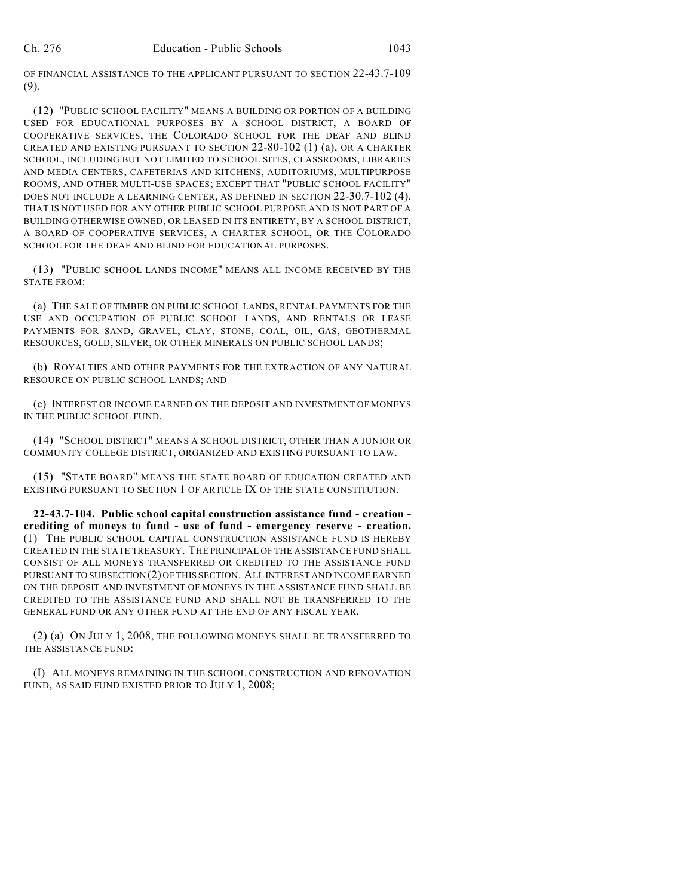OF FINANCIAL ASSISTANCE TO THE APPLICANT PURSUANT TO SECTION 22-43.7-109 (9).

(12) "PUBLIC SCHOOL FACILITY" MEANS A BUILDING OR PORTION OF A BUILDING USED FOR EDUCATIONAL PURPOSES BY A SCHOOL DISTRICT, A BOARD OF COOPERATIVE SERVICES, THE COLORADO SCHOOL FOR THE DEAF AND BLIND CREATED AND EXISTING PURSUANT TO SECTION 22-80-102 (1) (a), OR A CHARTER SCHOOL, INCLUDING BUT NOT LIMITED TO SCHOOL SITES, CLASSROOMS, LIBRARIES AND MEDIA CENTERS, CAFETERIAS AND KITCHENS, AUDITORIUMS, MULTIPURPOSE ROOMS, AND OTHER MULTI-USE SPACES; EXCEPT THAT "PUBLIC SCHOOL FACILITY" DOES NOT INCLUDE A LEARNING CENTER, AS DEFINED IN SECTION 22-30.7-102 (4), THAT IS NOT USED FOR ANY OTHER PUBLIC SCHOOL PURPOSE AND IS NOT PART OF A BUILDING OTHERWISE OWNED, OR LEASED IN ITS ENTIRETY, BY A SCHOOL DISTRICT, A BOARD OF COOPERATIVE SERVICES, A CHARTER SCHOOL, OR THE COLORADO SCHOOL FOR THE DEAF AND BLIND FOR EDUCATIONAL PURPOSES.

(13) "PUBLIC SCHOOL LANDS INCOME" MEANS ALL INCOME RECEIVED BY THE STATE FROM:

(a) THE SALE OF TIMBER ON PUBLIC SCHOOL LANDS, RENTAL PAYMENTS FOR THE USE AND OCCUPATION OF PUBLIC SCHOOL LANDS, AND RENTALS OR LEASE PAYMENTS FOR SAND, GRAVEL, CLAY, STONE, COAL, OIL, GAS, GEOTHERMAL RESOURCES, GOLD, SILVER, OR OTHER MINERALS ON PUBLIC SCHOOL LANDS;

(b) ROYALTIES AND OTHER PAYMENTS FOR THE EXTRACTION OF ANY NATURAL RESOURCE ON PUBLIC SCHOOL LANDS; AND

(c) INTEREST OR INCOME EARNED ON THE DEPOSIT AND INVESTMENT OF MONEYS IN THE PUBLIC SCHOOL FUND.

(14) "SCHOOL DISTRICT" MEANS A SCHOOL DISTRICT, OTHER THAN A JUNIOR OR COMMUNITY COLLEGE DISTRICT, ORGANIZED AND EXISTING PURSUANT TO LAW.

(15) "STATE BOARD" MEANS THE STATE BOARD OF EDUCATION CREATED AND EXISTING PURSUANT TO SECTION 1 OF ARTICLE IX OF THE STATE CONSTITUTION.

**22-43.7-104. Public school capital construction assistance fund - creation crediting of moneys to fund - use of fund - emergency reserve - creation.** (1) THE PUBLIC SCHOOL CAPITAL CONSTRUCTION ASSISTANCE FUND IS HEREBY CREATED IN THE STATE TREASURY. THE PRINCIPAL OF THE ASSISTANCE FUND SHALL CONSIST OF ALL MONEYS TRANSFERRED OR CREDITED TO THE ASSISTANCE FUND PURSUANT TO SUBSECTION (2) OF THIS SECTION. ALL INTEREST AND INCOME EARNED ON THE DEPOSIT AND INVESTMENT OF MONEYS IN THE ASSISTANCE FUND SHALL BE CREDITED TO THE ASSISTANCE FUND AND SHALL NOT BE TRANSFERRED TO THE GENERAL FUND OR ANY OTHER FUND AT THE END OF ANY FISCAL YEAR.

(2) (a) ON JULY 1, 2008, THE FOLLOWING MONEYS SHALL BE TRANSFERRED TO THE ASSISTANCE FUND:

(I) ALL MONEYS REMAINING IN THE SCHOOL CONSTRUCTION AND RENOVATION FUND, AS SAID FUND EXISTED PRIOR TO JULY 1, 2008;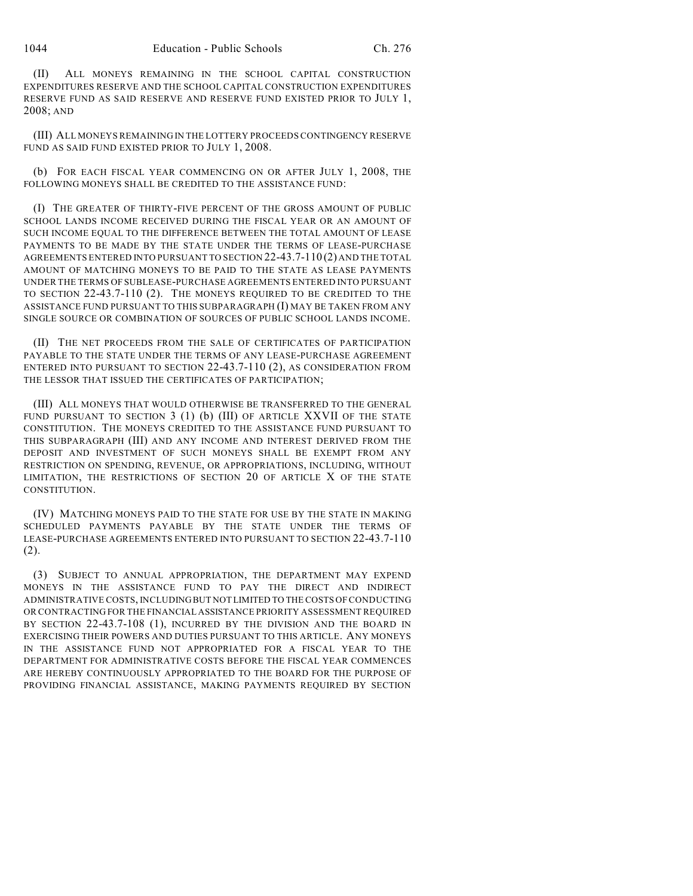(II) ALL MONEYS REMAINING IN THE SCHOOL CAPITAL CONSTRUCTION EXPENDITURES RESERVE AND THE SCHOOL CAPITAL CONSTRUCTION EXPENDITURES RESERVE FUND AS SAID RESERVE AND RESERVE FUND EXISTED PRIOR TO JULY 1, 2008; AND

(III) ALL MONEYS REMAINING IN THE LOTTERY PROCEEDS CONTINGENCY RESERVE FUND AS SAID FUND EXISTED PRIOR TO JULY 1, 2008.

(b) FOR EACH FISCAL YEAR COMMENCING ON OR AFTER JULY 1, 2008, THE FOLLOWING MONEYS SHALL BE CREDITED TO THE ASSISTANCE FUND:

(I) THE GREATER OF THIRTY-FIVE PERCENT OF THE GROSS AMOUNT OF PUBLIC SCHOOL LANDS INCOME RECEIVED DURING THE FISCAL YEAR OR AN AMOUNT OF SUCH INCOME EQUAL TO THE DIFFERENCE BETWEEN THE TOTAL AMOUNT OF LEASE PAYMENTS TO BE MADE BY THE STATE UNDER THE TERMS OF LEASE-PURCHASE AGREEMENTS ENTERED INTO PURSUANT TO SECTION 22-43.7-110 (2) AND THE TOTAL AMOUNT OF MATCHING MONEYS TO BE PAID TO THE STATE AS LEASE PAYMENTS UNDER THE TERMS OF SUBLEASE-PURCHASE AGREEMENTS ENTERED INTO PURSUANT TO SECTION 22-43.7-110 (2). THE MONEYS REQUIRED TO BE CREDITED TO THE ASSISTANCE FUND PURSUANT TO THIS SUBPARAGRAPH (I) MAY BE TAKEN FROM ANY SINGLE SOURCE OR COMBINATION OF SOURCES OF PUBLIC SCHOOL LANDS INCOME.

(II) THE NET PROCEEDS FROM THE SALE OF CERTIFICATES OF PARTICIPATION PAYABLE TO THE STATE UNDER THE TERMS OF ANY LEASE-PURCHASE AGREEMENT ENTERED INTO PURSUANT TO SECTION 22-43.7-110 (2), AS CONSIDERATION FROM THE LESSOR THAT ISSUED THE CERTIFICATES OF PARTICIPATION;

(III) ALL MONEYS THAT WOULD OTHERWISE BE TRANSFERRED TO THE GENERAL FUND PURSUANT TO SECTION 3 (1) (b) (III) OF ARTICLE XXVII OF THE STATE CONSTITUTION. THE MONEYS CREDITED TO THE ASSISTANCE FUND PURSUANT TO THIS SUBPARAGRAPH (III) AND ANY INCOME AND INTEREST DERIVED FROM THE DEPOSIT AND INVESTMENT OF SUCH MONEYS SHALL BE EXEMPT FROM ANY RESTRICTION ON SPENDING, REVENUE, OR APPROPRIATIONS, INCLUDING, WITHOUT LIMITATION, THE RESTRICTIONS OF SECTION 20 OF ARTICLE X OF THE STATE CONSTITUTION.

(IV) MATCHING MONEYS PAID TO THE STATE FOR USE BY THE STATE IN MAKING SCHEDULED PAYMENTS PAYABLE BY THE STATE UNDER THE TERMS OF LEASE-PURCHASE AGREEMENTS ENTERED INTO PURSUANT TO SECTION 22-43.7-110 (2).

(3) SUBJECT TO ANNUAL APPROPRIATION, THE DEPARTMENT MAY EXPEND MONEYS IN THE ASSISTANCE FUND TO PAY THE DIRECT AND INDIRECT ADMINISTRATIVE COSTS, INCLUDING BUT NOT LIMITED TO THE COSTS OF CONDUCTING OR CONTRACTING FOR THE FINANCIAL ASSISTANCE PRIORITY ASSESSMENT REQUIRED BY SECTION 22-43.7-108 (1), INCURRED BY THE DIVISION AND THE BOARD IN EXERCISING THEIR POWERS AND DUTIES PURSUANT TO THIS ARTICLE. ANY MONEYS IN THE ASSISTANCE FUND NOT APPROPRIATED FOR A FISCAL YEAR TO THE DEPARTMENT FOR ADMINISTRATIVE COSTS BEFORE THE FISCAL YEAR COMMENCES ARE HEREBY CONTINUOUSLY APPROPRIATED TO THE BOARD FOR THE PURPOSE OF PROVIDING FINANCIAL ASSISTANCE, MAKING PAYMENTS REQUIRED BY SECTION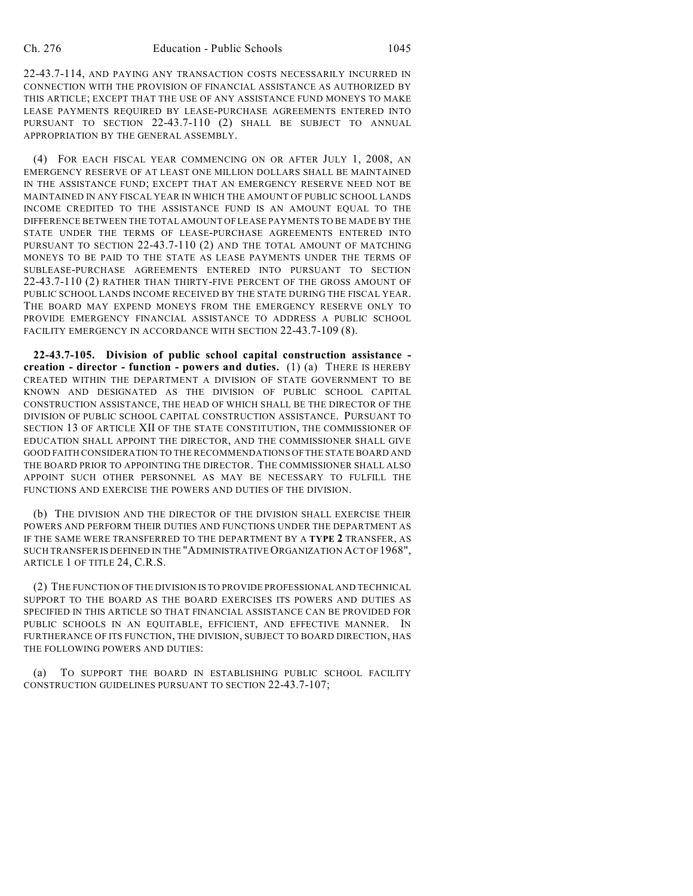22-43.7-114, AND PAYING ANY TRANSACTION COSTS NECESSARILY INCURRED IN CONNECTION WITH THE PROVISION OF FINANCIAL ASSISTANCE AS AUTHORIZED BY THIS ARTICLE; EXCEPT THAT THE USE OF ANY ASSISTANCE FUND MONEYS TO MAKE LEASE PAYMENTS REQUIRED BY LEASE-PURCHASE AGREEMENTS ENTERED INTO PURSUANT TO SECTION 22-43.7-110 (2) SHALL BE SUBJECT TO ANNUAL APPROPRIATION BY THE GENERAL ASSEMBLY.

(4) FOR EACH FISCAL YEAR COMMENCING ON OR AFTER JULY 1, 2008, AN EMERGENCY RESERVE OF AT LEAST ONE MILLION DOLLARS SHALL BE MAINTAINED IN THE ASSISTANCE FUND; EXCEPT THAT AN EMERGENCY RESERVE NEED NOT BE MAINTAINED IN ANY FISCAL YEAR IN WHICH THE AMOUNT OF PUBLIC SCHOOL LANDS INCOME CREDITED TO THE ASSISTANCE FUND IS AN AMOUNT EQUAL TO THE DIFFERENCE BETWEEN THE TOTAL AMOUNT OFLEASE PAYMENTS TO BE MADE BY THE STATE UNDER THE TERMS OF LEASE-PURCHASE AGREEMENTS ENTERED INTO PURSUANT TO SECTION 22-43.7-110 (2) AND THE TOTAL AMOUNT OF MATCHING MONEYS TO BE PAID TO THE STATE AS LEASE PAYMENTS UNDER THE TERMS OF SUBLEASE-PURCHASE AGREEMENTS ENTERED INTO PURSUANT TO SECTION 22-43.7-110 (2) RATHER THAN THIRTY-FIVE PERCENT OF THE GROSS AMOUNT OF PUBLIC SCHOOL LANDS INCOME RECEIVED BY THE STATE DURING THE FISCAL YEAR. THE BOARD MAY EXPEND MONEYS FROM THE EMERGENCY RESERVE ONLY TO PROVIDE EMERGENCY FINANCIAL ASSISTANCE TO ADDRESS A PUBLIC SCHOOL FACILITY EMERGENCY IN ACCORDANCE WITH SECTION 22-43.7-109 (8).

**22-43.7-105. Division of public school capital construction assistance creation - director - function - powers and duties.** (1) (a) THERE IS HEREBY CREATED WITHIN THE DEPARTMENT A DIVISION OF STATE GOVERNMENT TO BE KNOWN AND DESIGNATED AS THE DIVISION OF PUBLIC SCHOOL CAPITAL CONSTRUCTION ASSISTANCE, THE HEAD OF WHICH SHALL BE THE DIRECTOR OF THE DIVISION OF PUBLIC SCHOOL CAPITAL CONSTRUCTION ASSISTANCE. PURSUANT TO SECTION 13 OF ARTICLE XII OF THE STATE CONSTITUTION, THE COMMISSIONER OF EDUCATION SHALL APPOINT THE DIRECTOR, AND THE COMMISSIONER SHALL GIVE GOOD FAITH CONSIDERATION TO THE RECOMMENDATIONS OF THE STATE BOARD AND THE BOARD PRIOR TO APPOINTING THE DIRECTOR. THE COMMISSIONER SHALL ALSO APPOINT SUCH OTHER PERSONNEL AS MAY BE NECESSARY TO FULFILL THE FUNCTIONS AND EXERCISE THE POWERS AND DUTIES OF THE DIVISION.

(b) THE DIVISION AND THE DIRECTOR OF THE DIVISION SHALL EXERCISE THEIR POWERS AND PERFORM THEIR DUTIES AND FUNCTIONS UNDER THE DEPARTMENT AS IF THE SAME WERE TRANSFERRED TO THE DEPARTMENT BY A **TYPE 2** TRANSFER, AS SUCH TRANSFER IS DEFINED IN THE "ADMINISTRATIVE ORGANIZATION ACT OF 1968", ARTICLE 1 OF TITLE 24, C.R.S.

(2) THE FUNCTION OFTHE DIVISION IS TO PROVIDE PROFESSIONAL AND TECHNICAL SUPPORT TO THE BOARD AS THE BOARD EXERCISES ITS POWERS AND DUTIES AS SPECIFIED IN THIS ARTICLE SO THAT FINANCIAL ASSISTANCE CAN BE PROVIDED FOR PUBLIC SCHOOLS IN AN EQUITABLE, EFFICIENT, AND EFFECTIVE MANNER. IN FURTHERANCE OF ITS FUNCTION, THE DIVISION, SUBJECT TO BOARD DIRECTION, HAS THE FOLLOWING POWERS AND DUTIES:

(a) TO SUPPORT THE BOARD IN ESTABLISHING PUBLIC SCHOOL FACILITY CONSTRUCTION GUIDELINES PURSUANT TO SECTION 22-43.7-107;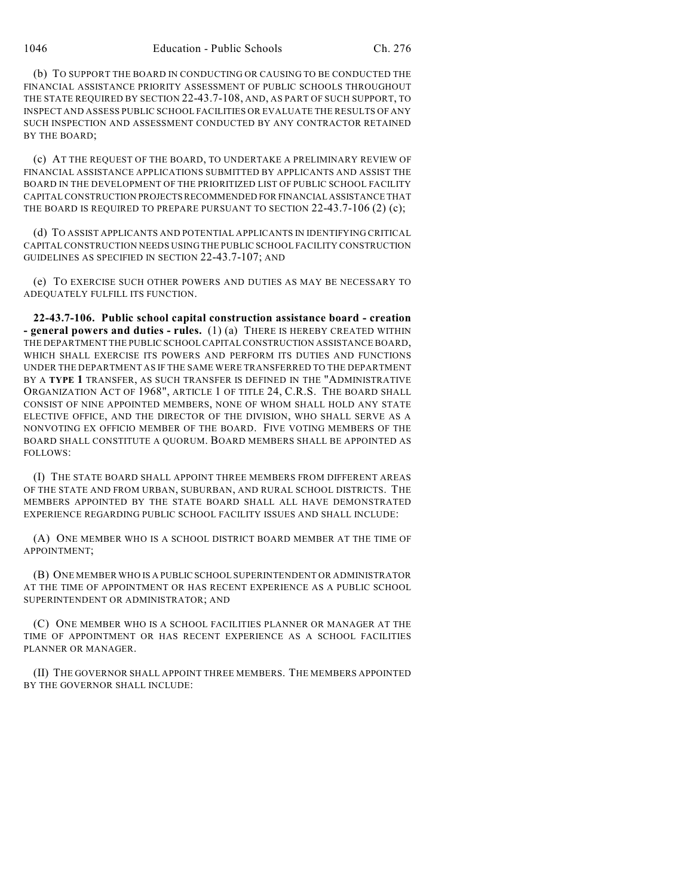(b) TO SUPPORT THE BOARD IN CONDUCTING OR CAUSING TO BE CONDUCTED THE FINANCIAL ASSISTANCE PRIORITY ASSESSMENT OF PUBLIC SCHOOLS THROUGHOUT THE STATE REQUIRED BY SECTION 22-43.7-108, AND, AS PART OF SUCH SUPPORT, TO INSPECT AND ASSESS PUBLIC SCHOOL FACILITIES OR EVALUATE THE RESULTS OF ANY SUCH INSPECTION AND ASSESSMENT CONDUCTED BY ANY CONTRACTOR RETAINED BY THE BOARD;

(c) AT THE REQUEST OF THE BOARD, TO UNDERTAKE A PRELIMINARY REVIEW OF FINANCIAL ASSISTANCE APPLICATIONS SUBMITTED BY APPLICANTS AND ASSIST THE BOARD IN THE DEVELOPMENT OF THE PRIORITIZED LIST OF PUBLIC SCHOOL FACILITY CAPITAL CONSTRUCTION PROJECTS RECOMMENDED FOR FINANCIAL ASSISTANCE THAT THE BOARD IS REQUIRED TO PREPARE PURSUANT TO SECTION 22-43.7-106 (2) (c);

(d) TO ASSIST APPLICANTS AND POTENTIAL APPLICANTS IN IDENTIFYING CRITICAL CAPITAL CONSTRUCTION NEEDS USING THE PUBLIC SCHOOL FACILITY CONSTRUCTION GUIDELINES AS SPECIFIED IN SECTION 22-43.7-107; AND

(e) TO EXERCISE SUCH OTHER POWERS AND DUTIES AS MAY BE NECESSARY TO ADEQUATELY FULFILL ITS FUNCTION.

**22-43.7-106. Public school capital construction assistance board - creation - general powers and duties - rules.** (1) (a) THERE IS HEREBY CREATED WITHIN THE DEPARTMENT THE PUBLIC SCHOOL CAPITAL CONSTRUCTION ASSISTANCE BOARD, WHICH SHALL EXERCISE ITS POWERS AND PERFORM ITS DUTIES AND FUNCTIONS UNDER THE DEPARTMENT AS IF THE SAME WERE TRANSFERRED TO THE DEPARTMENT BY A **TYPE 1** TRANSFER, AS SUCH TRANSFER IS DEFINED IN THE "ADMINISTRATIVE ORGANIZATION ACT OF 1968", ARTICLE 1 OF TITLE 24, C.R.S. THE BOARD SHALL CONSIST OF NINE APPOINTED MEMBERS, NONE OF WHOM SHALL HOLD ANY STATE ELECTIVE OFFICE, AND THE DIRECTOR OF THE DIVISION, WHO SHALL SERVE AS A NONVOTING EX OFFICIO MEMBER OF THE BOARD. FIVE VOTING MEMBERS OF THE BOARD SHALL CONSTITUTE A QUORUM. BOARD MEMBERS SHALL BE APPOINTED AS FOLLOWS:

(I) THE STATE BOARD SHALL APPOINT THREE MEMBERS FROM DIFFERENT AREAS OF THE STATE AND FROM URBAN, SUBURBAN, AND RURAL SCHOOL DISTRICTS. THE MEMBERS APPOINTED BY THE STATE BOARD SHALL ALL HAVE DEMONSTRATED EXPERIENCE REGARDING PUBLIC SCHOOL FACILITY ISSUES AND SHALL INCLUDE:

(A) ONE MEMBER WHO IS A SCHOOL DISTRICT BOARD MEMBER AT THE TIME OF APPOINTMENT;

(B) ONE MEMBER WHO IS A PUBLIC SCHOOL SUPERINTENDENT OR ADMINISTRATOR AT THE TIME OF APPOINTMENT OR HAS RECENT EXPERIENCE AS A PUBLIC SCHOOL SUPERINTENDENT OR ADMINISTRATOR; AND

(C) ONE MEMBER WHO IS A SCHOOL FACILITIES PLANNER OR MANAGER AT THE TIME OF APPOINTMENT OR HAS RECENT EXPERIENCE AS A SCHOOL FACILITIES PLANNER OR MANAGER.

(II) THE GOVERNOR SHALL APPOINT THREE MEMBERS. THE MEMBERS APPOINTED BY THE GOVERNOR SHALL INCLUDE: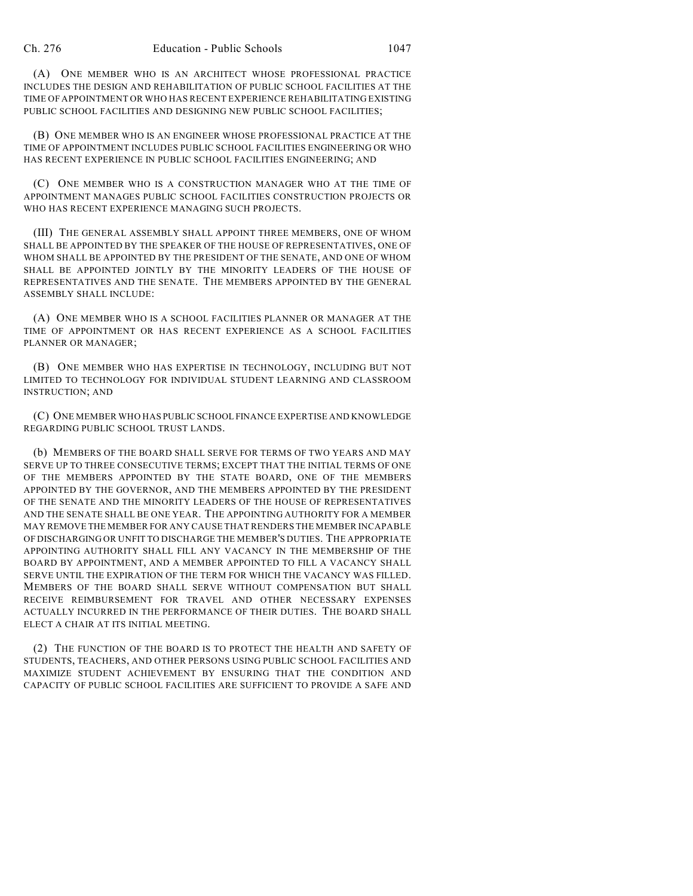(A) ONE MEMBER WHO IS AN ARCHITECT WHOSE PROFESSIONAL PRACTICE INCLUDES THE DESIGN AND REHABILITATION OF PUBLIC SCHOOL FACILITIES AT THE TIME OF APPOINTMENT OR WHO HAS RECENT EXPERIENCE REHABILITATING EXISTING PUBLIC SCHOOL FACILITIES AND DESIGNING NEW PUBLIC SCHOOL FACILITIES;

(B) ONE MEMBER WHO IS AN ENGINEER WHOSE PROFESSIONAL PRACTICE AT THE TIME OF APPOINTMENT INCLUDES PUBLIC SCHOOL FACILITIES ENGINEERING OR WHO HAS RECENT EXPERIENCE IN PUBLIC SCHOOL FACILITIES ENGINEERING; AND

(C) ONE MEMBER WHO IS A CONSTRUCTION MANAGER WHO AT THE TIME OF APPOINTMENT MANAGES PUBLIC SCHOOL FACILITIES CONSTRUCTION PROJECTS OR WHO HAS RECENT EXPERIENCE MANAGING SUCH PROJECTS.

(III) THE GENERAL ASSEMBLY SHALL APPOINT THREE MEMBERS, ONE OF WHOM SHALL BE APPOINTED BY THE SPEAKER OF THE HOUSE OF REPRESENTATIVES, ONE OF WHOM SHALL BE APPOINTED BY THE PRESIDENT OF THE SENATE, AND ONE OF WHOM SHALL BE APPOINTED JOINTLY BY THE MINORITY LEADERS OF THE HOUSE OF REPRESENTATIVES AND THE SENATE. THE MEMBERS APPOINTED BY THE GENERAL ASSEMBLY SHALL INCLUDE:

(A) ONE MEMBER WHO IS A SCHOOL FACILITIES PLANNER OR MANAGER AT THE TIME OF APPOINTMENT OR HAS RECENT EXPERIENCE AS A SCHOOL FACILITIES PLANNER OR MANAGER;

(B) ONE MEMBER WHO HAS EXPERTISE IN TECHNOLOGY, INCLUDING BUT NOT LIMITED TO TECHNOLOGY FOR INDIVIDUAL STUDENT LEARNING AND CLASSROOM INSTRUCTION; AND

(C) ONE MEMBER WHO HAS PUBLIC SCHOOL FINANCE EXPERTISE AND KNOWLEDGE REGARDING PUBLIC SCHOOL TRUST LANDS.

(b) MEMBERS OF THE BOARD SHALL SERVE FOR TERMS OF TWO YEARS AND MAY SERVE UP TO THREE CONSECUTIVE TERMS; EXCEPT THAT THE INITIAL TERMS OF ONE OF THE MEMBERS APPOINTED BY THE STATE BOARD, ONE OF THE MEMBERS APPOINTED BY THE GOVERNOR, AND THE MEMBERS APPOINTED BY THE PRESIDENT OF THE SENATE AND THE MINORITY LEADERS OF THE HOUSE OF REPRESENTATIVES AND THE SENATE SHALL BE ONE YEAR. THE APPOINTING AUTHORITY FOR A MEMBER MAY REMOVE THE MEMBER FOR ANY CAUSE THAT RENDERS THE MEMBER INCAPABLE OF DISCHARGING OR UNFIT TO DISCHARGE THE MEMBER'S DUTIES. THE APPROPRIATE APPOINTING AUTHORITY SHALL FILL ANY VACANCY IN THE MEMBERSHIP OF THE BOARD BY APPOINTMENT, AND A MEMBER APPOINTED TO FILL A VACANCY SHALL SERVE UNTIL THE EXPIRATION OF THE TERM FOR WHICH THE VACANCY WAS FILLED. MEMBERS OF THE BOARD SHALL SERVE WITHOUT COMPENSATION BUT SHALL RECEIVE REIMBURSEMENT FOR TRAVEL AND OTHER NECESSARY EXPENSES ACTUALLY INCURRED IN THE PERFORMANCE OF THEIR DUTIES. THE BOARD SHALL ELECT A CHAIR AT ITS INITIAL MEETING.

(2) THE FUNCTION OF THE BOARD IS TO PROTECT THE HEALTH AND SAFETY OF STUDENTS, TEACHERS, AND OTHER PERSONS USING PUBLIC SCHOOL FACILITIES AND MAXIMIZE STUDENT ACHIEVEMENT BY ENSURING THAT THE CONDITION AND CAPACITY OF PUBLIC SCHOOL FACILITIES ARE SUFFICIENT TO PROVIDE A SAFE AND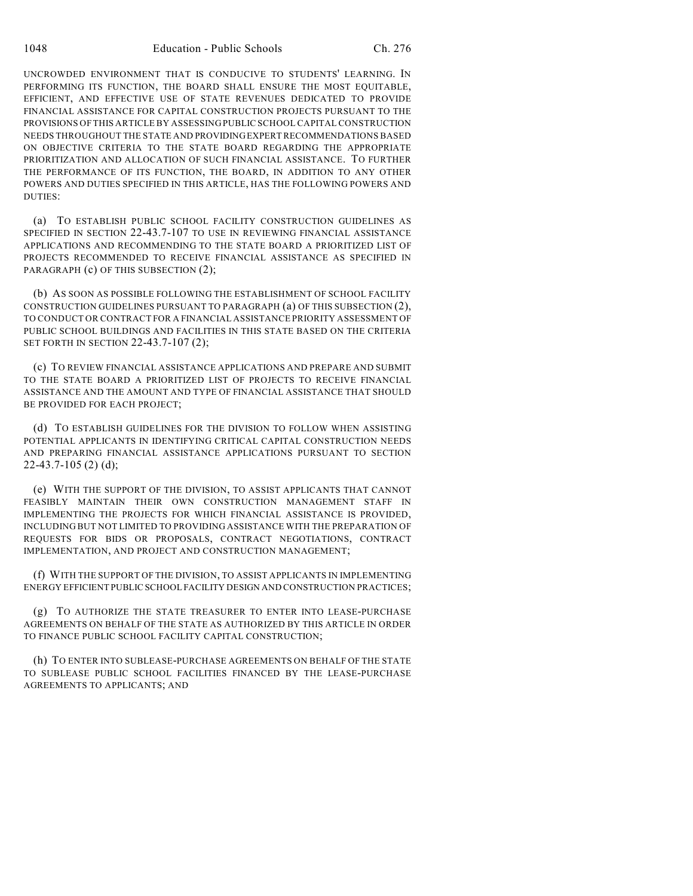UNCROWDED ENVIRONMENT THAT IS CONDUCIVE TO STUDENTS' LEARNING. IN PERFORMING ITS FUNCTION, THE BOARD SHALL ENSURE THE MOST EQUITABLE, EFFICIENT, AND EFFECTIVE USE OF STATE REVENUES DEDICATED TO PROVIDE FINANCIAL ASSISTANCE FOR CAPITAL CONSTRUCTION PROJECTS PURSUANT TO THE PROVISIONS OF THIS ARTICLE BY ASSESSING PUBLIC SCHOOL CAPITAL CONSTRUCTION NEEDS THROUGHOUT THE STATE AND PROVIDING EXPERT RECOMMENDATIONS BASED ON OBJECTIVE CRITERIA TO THE STATE BOARD REGARDING THE APPROPRIATE PRIORITIZATION AND ALLOCATION OF SUCH FINANCIAL ASSISTANCE. TO FURTHER THE PERFORMANCE OF ITS FUNCTION, THE BOARD, IN ADDITION TO ANY OTHER POWERS AND DUTIES SPECIFIED IN THIS ARTICLE, HAS THE FOLLOWING POWERS AND DUTIES:

(a) TO ESTABLISH PUBLIC SCHOOL FACILITY CONSTRUCTION GUIDELINES AS SPECIFIED IN SECTION 22-43.7-107 TO USE IN REVIEWING FINANCIAL ASSISTANCE APPLICATIONS AND RECOMMENDING TO THE STATE BOARD A PRIORITIZED LIST OF PROJECTS RECOMMENDED TO RECEIVE FINANCIAL ASSISTANCE AS SPECIFIED IN PARAGRAPH (c) OF THIS SUBSECTION (2);

(b) AS SOON AS POSSIBLE FOLLOWING THE ESTABLISHMENT OF SCHOOL FACILITY CONSTRUCTION GUIDELINES PURSUANT TO PARAGRAPH (a) OF THIS SUBSECTION (2), TO CONDUCT OR CONTRACT FOR A FINANCIAL ASSISTANCE PRIORITY ASSESSMENT OF PUBLIC SCHOOL BUILDINGS AND FACILITIES IN THIS STATE BASED ON THE CRITERIA SET FORTH IN SECTION 22-43.7-107 (2);

(c) TO REVIEW FINANCIAL ASSISTANCE APPLICATIONS AND PREPARE AND SUBMIT TO THE STATE BOARD A PRIORITIZED LIST OF PROJECTS TO RECEIVE FINANCIAL ASSISTANCE AND THE AMOUNT AND TYPE OF FINANCIAL ASSISTANCE THAT SHOULD BE PROVIDED FOR EACH PROJECT;

(d) TO ESTABLISH GUIDELINES FOR THE DIVISION TO FOLLOW WHEN ASSISTING POTENTIAL APPLICANTS IN IDENTIFYING CRITICAL CAPITAL CONSTRUCTION NEEDS AND PREPARING FINANCIAL ASSISTANCE APPLICATIONS PURSUANT TO SECTION 22-43.7-105 (2) (d);

(e) WITH THE SUPPORT OF THE DIVISION, TO ASSIST APPLICANTS THAT CANNOT FEASIBLY MAINTAIN THEIR OWN CONSTRUCTION MANAGEMENT STAFF IN IMPLEMENTING THE PROJECTS FOR WHICH FINANCIAL ASSISTANCE IS PROVIDED, INCLUDING BUT NOT LIMITED TO PROVIDING ASSISTANCE WITH THE PREPARATION OF REQUESTS FOR BIDS OR PROPOSALS, CONTRACT NEGOTIATIONS, CONTRACT IMPLEMENTATION, AND PROJECT AND CONSTRUCTION MANAGEMENT;

(f) WITH THE SUPPORT OF THE DIVISION, TO ASSIST APPLICANTS IN IMPLEMENTING ENERGY EFFICIENT PUBLIC SCHOOL FACILITY DESIGN AND CONSTRUCTION PRACTICES;

(g) TO AUTHORIZE THE STATE TREASURER TO ENTER INTO LEASE-PURCHASE AGREEMENTS ON BEHALF OF THE STATE AS AUTHORIZED BY THIS ARTICLE IN ORDER TO FINANCE PUBLIC SCHOOL FACILITY CAPITAL CONSTRUCTION;

(h) TO ENTER INTO SUBLEASE-PURCHASE AGREEMENTS ON BEHALF OF THE STATE TO SUBLEASE PUBLIC SCHOOL FACILITIES FINANCED BY THE LEASE-PURCHASE AGREEMENTS TO APPLICANTS; AND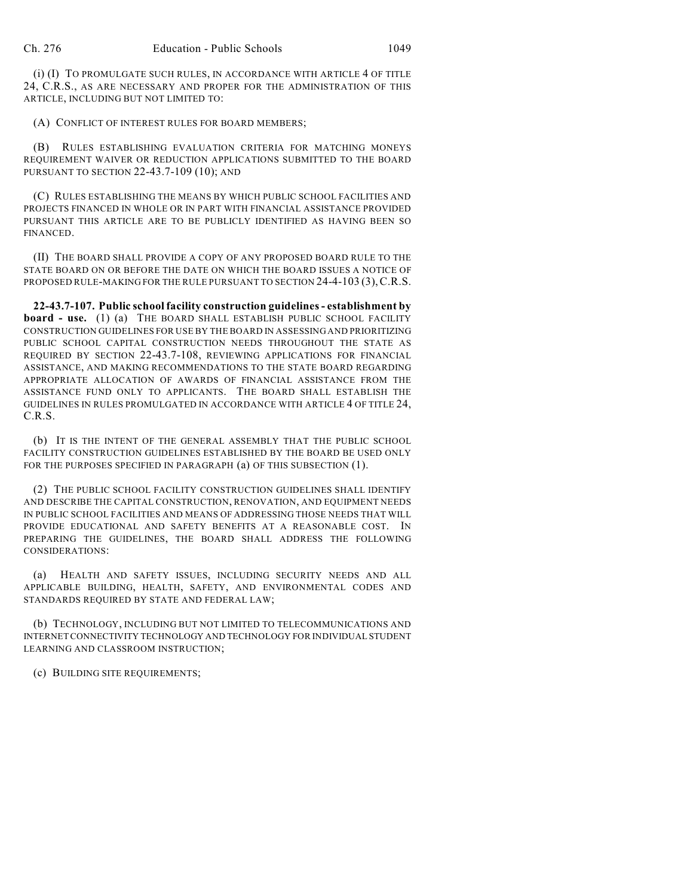(i) (I) TO PROMULGATE SUCH RULES, IN ACCORDANCE WITH ARTICLE 4 OF TITLE 24, C.R.S., AS ARE NECESSARY AND PROPER FOR THE ADMINISTRATION OF THIS ARTICLE, INCLUDING BUT NOT LIMITED TO:

(A) CONFLICT OF INTEREST RULES FOR BOARD MEMBERS;

(B) RULES ESTABLISHING EVALUATION CRITERIA FOR MATCHING MONEYS REQUIREMENT WAIVER OR REDUCTION APPLICATIONS SUBMITTED TO THE BOARD PURSUANT TO SECTION 22-43.7-109 (10); AND

(C) RULES ESTABLISHING THE MEANS BY WHICH PUBLIC SCHOOL FACILITIES AND PROJECTS FINANCED IN WHOLE OR IN PART WITH FINANCIAL ASSISTANCE PROVIDED PURSUANT THIS ARTICLE ARE TO BE PUBLICLY IDENTIFIED AS HAVING BEEN SO FINANCED.

(II) THE BOARD SHALL PROVIDE A COPY OF ANY PROPOSED BOARD RULE TO THE STATE BOARD ON OR BEFORE THE DATE ON WHICH THE BOARD ISSUES A NOTICE OF PROPOSED RULE-MAKING FOR THE RULE PURSUANT TO SECTION 24-4-103 (3), C.R.S.

**22-43.7-107. Public school facility construction guidelines - establishment by board - use.** (1) (a) THE BOARD SHALL ESTABLISH PUBLIC SCHOOL FACILITY CONSTRUCTION GUIDELINES FOR USE BY THE BOARD IN ASSESSING AND PRIORITIZING PUBLIC SCHOOL CAPITAL CONSTRUCTION NEEDS THROUGHOUT THE STATE AS REQUIRED BY SECTION 22-43.7-108, REVIEWING APPLICATIONS FOR FINANCIAL ASSISTANCE, AND MAKING RECOMMENDATIONS TO THE STATE BOARD REGARDING APPROPRIATE ALLOCATION OF AWARDS OF FINANCIAL ASSISTANCE FROM THE ASSISTANCE FUND ONLY TO APPLICANTS. THE BOARD SHALL ESTABLISH THE GUIDELINES IN RULES PROMULGATED IN ACCORDANCE WITH ARTICLE 4 OF TITLE 24, C.R.S.

(b) IT IS THE INTENT OF THE GENERAL ASSEMBLY THAT THE PUBLIC SCHOOL FACILITY CONSTRUCTION GUIDELINES ESTABLISHED BY THE BOARD BE USED ONLY FOR THE PURPOSES SPECIFIED IN PARAGRAPH (a) OF THIS SUBSECTION (1).

(2) THE PUBLIC SCHOOL FACILITY CONSTRUCTION GUIDELINES SHALL IDENTIFY AND DESCRIBE THE CAPITAL CONSTRUCTION, RENOVATION, AND EQUIPMENT NEEDS IN PUBLIC SCHOOL FACILITIES AND MEANS OF ADDRESSING THOSE NEEDS THAT WILL PROVIDE EDUCATIONAL AND SAFETY BENEFITS AT A REASONABLE COST. IN PREPARING THE GUIDELINES, THE BOARD SHALL ADDRESS THE FOLLOWING CONSIDERATIONS:

(a) HEALTH AND SAFETY ISSUES, INCLUDING SECURITY NEEDS AND ALL APPLICABLE BUILDING, HEALTH, SAFETY, AND ENVIRONMENTAL CODES AND STANDARDS REQUIRED BY STATE AND FEDERAL LAW;

(b) TECHNOLOGY, INCLUDING BUT NOT LIMITED TO TELECOMMUNICATIONS AND INTERNET CONNECTIVITY TECHNOLOGY AND TECHNOLOGY FOR INDIVIDUAL STUDENT LEARNING AND CLASSROOM INSTRUCTION;

(c) BUILDING SITE REQUIREMENTS;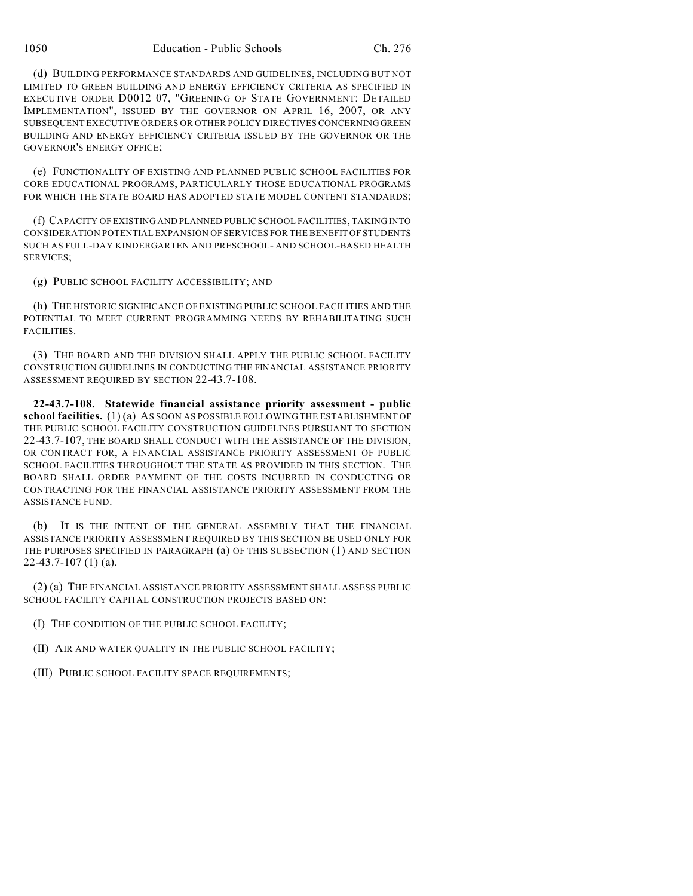(d) BUILDING PERFORMANCE STANDARDS AND GUIDELINES, INCLUDING BUT NOT LIMITED TO GREEN BUILDING AND ENERGY EFFICIENCY CRITERIA AS SPECIFIED IN EXECUTIVE ORDER D0012 07, "GREENING OF STATE GOVERNMENT: DETAILED IMPLEMENTATION", ISSUED BY THE GOVERNOR ON APRIL 16, 2007, OR ANY SUBSEQUENT EXECUTIVE ORDERS OR OTHER POLICY DIRECTIVES CONCERNING GREEN BUILDING AND ENERGY EFFICIENCY CRITERIA ISSUED BY THE GOVERNOR OR THE GOVERNOR'S ENERGY OFFICE;

(e) FUNCTIONALITY OF EXISTING AND PLANNED PUBLIC SCHOOL FACILITIES FOR CORE EDUCATIONAL PROGRAMS, PARTICULARLY THOSE EDUCATIONAL PROGRAMS FOR WHICH THE STATE BOARD HAS ADOPTED STATE MODEL CONTENT STANDARDS;

(f) CAPACITY OF EXISTING AND PLANNED PUBLIC SCHOOL FACILITIES, TAKING INTO CONSIDERATION POTENTIAL EXPANSION OF SERVICES FOR THE BENEFIT OF STUDENTS SUCH AS FULL-DAY KINDERGARTEN AND PRESCHOOL- AND SCHOOL-BASED HEALTH SERVICES;

(g) PUBLIC SCHOOL FACILITY ACCESSIBILITY; AND

(h) THE HISTORIC SIGNIFICANCE OF EXISTING PUBLIC SCHOOL FACILITIES AND THE POTENTIAL TO MEET CURRENT PROGRAMMING NEEDS BY REHABILITATING SUCH FACILITIES.

(3) THE BOARD AND THE DIVISION SHALL APPLY THE PUBLIC SCHOOL FACILITY CONSTRUCTION GUIDELINES IN CONDUCTING THE FINANCIAL ASSISTANCE PRIORITY ASSESSMENT REQUIRED BY SECTION 22-43.7-108.

**22-43.7-108. Statewide financial assistance priority assessment - public school facilities.** (1) (a) AS SOON AS POSSIBLE FOLLOWING THE ESTABLISHMENT OF THE PUBLIC SCHOOL FACILITY CONSTRUCTION GUIDELINES PURSUANT TO SECTION 22-43.7-107, THE BOARD SHALL CONDUCT WITH THE ASSISTANCE OF THE DIVISION, OR CONTRACT FOR, A FINANCIAL ASSISTANCE PRIORITY ASSESSMENT OF PUBLIC SCHOOL FACILITIES THROUGHOUT THE STATE AS PROVIDED IN THIS SECTION. THE BOARD SHALL ORDER PAYMENT OF THE COSTS INCURRED IN CONDUCTING OR CONTRACTING FOR THE FINANCIAL ASSISTANCE PRIORITY ASSESSMENT FROM THE ASSISTANCE FUND.

(b) IT IS THE INTENT OF THE GENERAL ASSEMBLY THAT THE FINANCIAL ASSISTANCE PRIORITY ASSESSMENT REQUIRED BY THIS SECTION BE USED ONLY FOR THE PURPOSES SPECIFIED IN PARAGRAPH (a) OF THIS SUBSECTION (1) AND SECTION 22-43.7-107 (1) (a).

(2) (a) THE FINANCIAL ASSISTANCE PRIORITY ASSESSMENT SHALL ASSESS PUBLIC SCHOOL FACILITY CAPITAL CONSTRUCTION PROJECTS BASED ON:

(I) THE CONDITION OF THE PUBLIC SCHOOL FACILITY;

(II) AIR AND WATER QUALITY IN THE PUBLIC SCHOOL FACILITY;

(III) PUBLIC SCHOOL FACILITY SPACE REQUIREMENTS;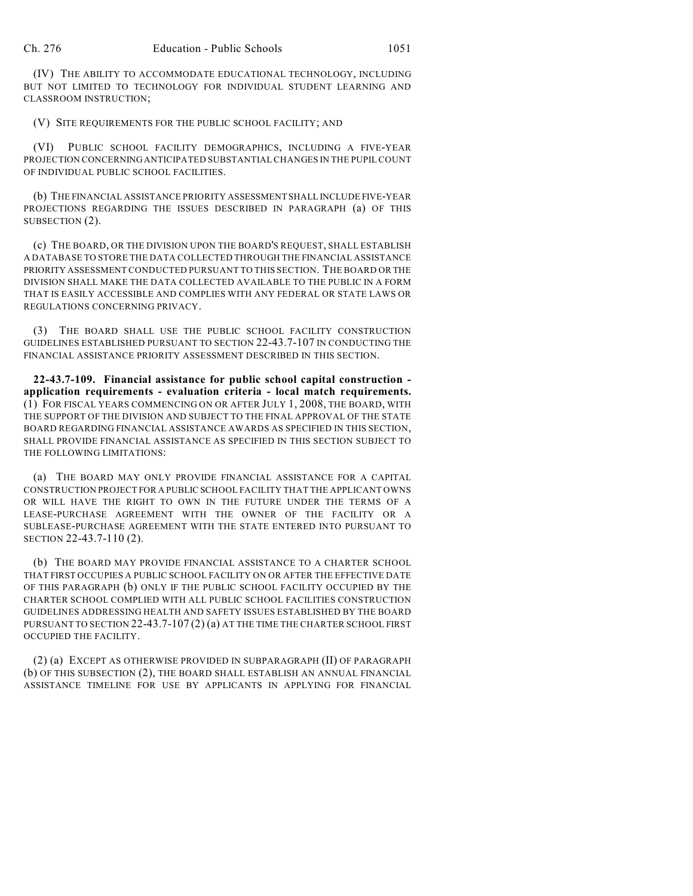(IV) THE ABILITY TO ACCOMMODATE EDUCATIONAL TECHNOLOGY, INCLUDING BUT NOT LIMITED TO TECHNOLOGY FOR INDIVIDUAL STUDENT LEARNING AND CLASSROOM INSTRUCTION;

(V) SITE REQUIREMENTS FOR THE PUBLIC SCHOOL FACILITY; AND

(VI) PUBLIC SCHOOL FACILITY DEMOGRAPHICS, INCLUDING A FIVE-YEAR PROJECTION CONCERNING ANTICIPATED SUBSTANTIAL CHANGES IN THE PUPIL COUNT OF INDIVIDUAL PUBLIC SCHOOL FACILITIES.

(b) THE FINANCIAL ASSISTANCE PRIORITY ASSESSMENT SHALL INCLUDE FIVE-YEAR PROJECTIONS REGARDING THE ISSUES DESCRIBED IN PARAGRAPH (a) OF THIS SUBSECTION (2).

(c) THE BOARD, OR THE DIVISION UPON THE BOARD'S REQUEST, SHALL ESTABLISH A DATABASE TO STORE THE DATA COLLECTED THROUGH THE FINANCIAL ASSISTANCE PRIORITY ASSESSMENT CONDUCTED PURSUANT TO THIS SECTION. THE BOARD OR THE DIVISION SHALL MAKE THE DATA COLLECTED AVAILABLE TO THE PUBLIC IN A FORM THAT IS EASILY ACCESSIBLE AND COMPLIES WITH ANY FEDERAL OR STATE LAWS OR REGULATIONS CONCERNING PRIVACY.

(3) THE BOARD SHALL USE THE PUBLIC SCHOOL FACILITY CONSTRUCTION GUIDELINES ESTABLISHED PURSUANT TO SECTION 22-43.7-107 IN CONDUCTING THE FINANCIAL ASSISTANCE PRIORITY ASSESSMENT DESCRIBED IN THIS SECTION.

**22-43.7-109. Financial assistance for public school capital construction application requirements - evaluation criteria - local match requirements.** (1) FOR FISCAL YEARS COMMENCING ON OR AFTER JULY 1, 2008, THE BOARD, WITH THE SUPPORT OF THE DIVISION AND SUBJECT TO THE FINAL APPROVAL OF THE STATE BOARD REGARDING FINANCIAL ASSISTANCE AWARDS AS SPECIFIED IN THIS SECTION, SHALL PROVIDE FINANCIAL ASSISTANCE AS SPECIFIED IN THIS SECTION SUBJECT TO THE FOLLOWING LIMITATIONS:

(a) THE BOARD MAY ONLY PROVIDE FINANCIAL ASSISTANCE FOR A CAPITAL CONSTRUCTION PROJECT FOR A PUBLIC SCHOOL FACILITY THAT THE APPLICANT OWNS OR WILL HAVE THE RIGHT TO OWN IN THE FUTURE UNDER THE TERMS OF A LEASE-PURCHASE AGREEMENT WITH THE OWNER OF THE FACILITY OR A SUBLEASE-PURCHASE AGREEMENT WITH THE STATE ENTERED INTO PURSUANT TO SECTION 22-43.7-110 (2).

(b) THE BOARD MAY PROVIDE FINANCIAL ASSISTANCE TO A CHARTER SCHOOL THAT FIRST OCCUPIES A PUBLIC SCHOOL FACILITY ON OR AFTER THE EFFECTIVE DATE OF THIS PARAGRAPH (b) ONLY IF THE PUBLIC SCHOOL FACILITY OCCUPIED BY THE CHARTER SCHOOL COMPLIED WITH ALL PUBLIC SCHOOL FACILITIES CONSTRUCTION GUIDELINES ADDRESSING HEALTH AND SAFETY ISSUES ESTABLISHED BY THE BOARD PURSUANT TO SECTION 22-43.7-107 (2) (a) AT THE TIME THE CHARTER SCHOOL FIRST OCCUPIED THE FACILITY.

(2) (a) EXCEPT AS OTHERWISE PROVIDED IN SUBPARAGRAPH (II) OF PARAGRAPH (b) OF THIS SUBSECTION (2), THE BOARD SHALL ESTABLISH AN ANNUAL FINANCIAL ASSISTANCE TIMELINE FOR USE BY APPLICANTS IN APPLYING FOR FINANCIAL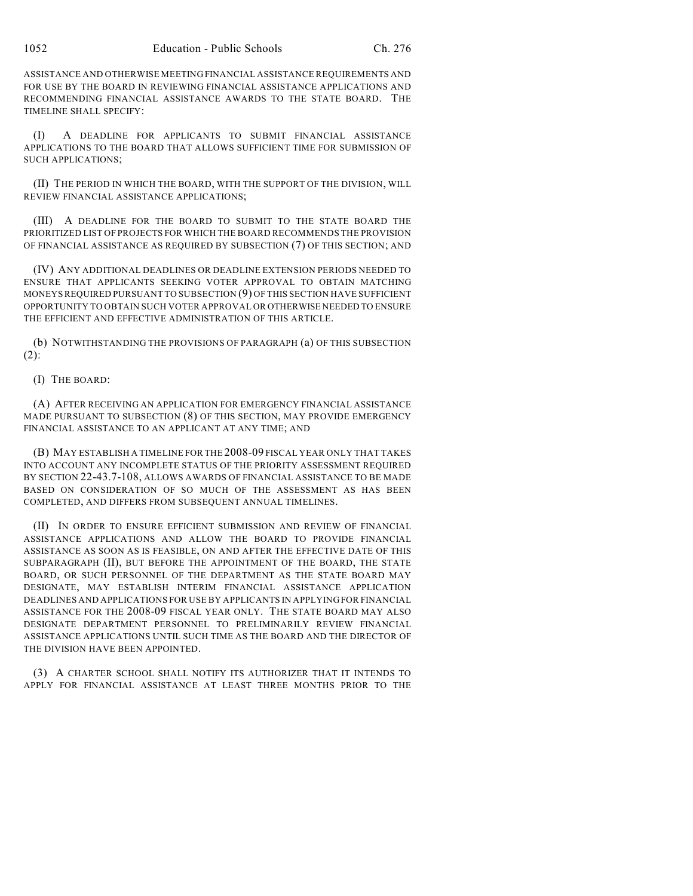ASSISTANCE AND OTHERWISE MEETING FINANCIAL ASSISTANCE REQUIREMENTS AND FOR USE BY THE BOARD IN REVIEWING FINANCIAL ASSISTANCE APPLICATIONS AND RECOMMENDING FINANCIAL ASSISTANCE AWARDS TO THE STATE BOARD. THE TIMELINE SHALL SPECIFY:

(I) A DEADLINE FOR APPLICANTS TO SUBMIT FINANCIAL ASSISTANCE APPLICATIONS TO THE BOARD THAT ALLOWS SUFFICIENT TIME FOR SUBMISSION OF SUCH APPLICATIONS;

(II) THE PERIOD IN WHICH THE BOARD, WITH THE SUPPORT OF THE DIVISION, WILL REVIEW FINANCIAL ASSISTANCE APPLICATIONS;

(III) A DEADLINE FOR THE BOARD TO SUBMIT TO THE STATE BOARD THE PRIORITIZED LIST OF PROJECTS FOR WHICH THE BOARD RECOMMENDS THE PROVISION OF FINANCIAL ASSISTANCE AS REQUIRED BY SUBSECTION (7) OF THIS SECTION; AND

(IV) ANY ADDITIONAL DEADLINES OR DEADLINE EXTENSION PERIODS NEEDED TO ENSURE THAT APPLICANTS SEEKING VOTER APPROVAL TO OBTAIN MATCHING MONEYS REQUIRED PURSUANT TO SUBSECTION (9) OF THIS SECTION HAVE SUFFICIENT OPPORTUNITY TO OBTAIN SUCH VOTER APPROVAL OR OTHERWISE NEEDED TO ENSURE THE EFFICIENT AND EFFECTIVE ADMINISTRATION OF THIS ARTICLE.

(b) NOTWITHSTANDING THE PROVISIONS OF PARAGRAPH (a) OF THIS SUBSECTION (2):

### (I) THE BOARD:

(A) AFTER RECEIVING AN APPLICATION FOR EMERGENCY FINANCIAL ASSISTANCE MADE PURSUANT TO SUBSECTION (8) OF THIS SECTION, MAY PROVIDE EMERGENCY FINANCIAL ASSISTANCE TO AN APPLICANT AT ANY TIME; AND

(B) MAY ESTABLISH A TIMELINE FOR THE 2008-09 FISCAL YEAR ONLY THAT TAKES INTO ACCOUNT ANY INCOMPLETE STATUS OF THE PRIORITY ASSESSMENT REQUIRED BY SECTION 22-43.7-108, ALLOWS AWARDS OF FINANCIAL ASSISTANCE TO BE MADE BASED ON CONSIDERATION OF SO MUCH OF THE ASSESSMENT AS HAS BEEN COMPLETED, AND DIFFERS FROM SUBSEQUENT ANNUAL TIMELINES.

(II) IN ORDER TO ENSURE EFFICIENT SUBMISSION AND REVIEW OF FINANCIAL ASSISTANCE APPLICATIONS AND ALLOW THE BOARD TO PROVIDE FINANCIAL ASSISTANCE AS SOON AS IS FEASIBLE, ON AND AFTER THE EFFECTIVE DATE OF THIS SUBPARAGRAPH (II), BUT BEFORE THE APPOINTMENT OF THE BOARD, THE STATE BOARD, OR SUCH PERSONNEL OF THE DEPARTMENT AS THE STATE BOARD MAY DESIGNATE, MAY ESTABLISH INTERIM FINANCIAL ASSISTANCE APPLICATION DEADLINES AND APPLICATIONS FOR USE BY APPLICANTS IN APPLYING FOR FINANCIAL ASSISTANCE FOR THE 2008-09 FISCAL YEAR ONLY. THE STATE BOARD MAY ALSO DESIGNATE DEPARTMENT PERSONNEL TO PRELIMINARILY REVIEW FINANCIAL ASSISTANCE APPLICATIONS UNTIL SUCH TIME AS THE BOARD AND THE DIRECTOR OF THE DIVISION HAVE BEEN APPOINTED.

(3) A CHARTER SCHOOL SHALL NOTIFY ITS AUTHORIZER THAT IT INTENDS TO APPLY FOR FINANCIAL ASSISTANCE AT LEAST THREE MONTHS PRIOR TO THE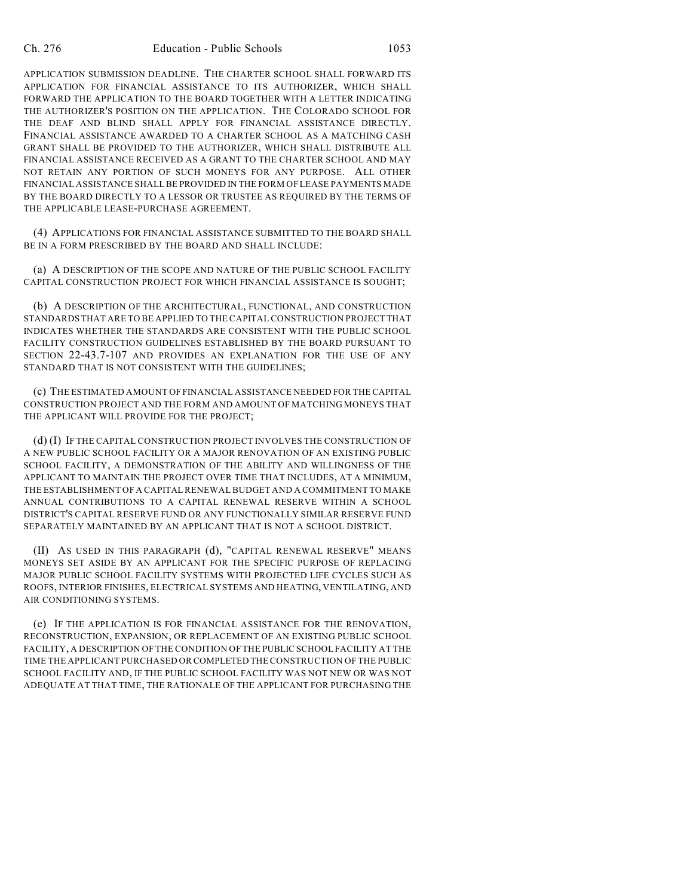APPLICATION SUBMISSION DEADLINE. THE CHARTER SCHOOL SHALL FORWARD ITS APPLICATION FOR FINANCIAL ASSISTANCE TO ITS AUTHORIZER, WHICH SHALL FORWARD THE APPLICATION TO THE BOARD TOGETHER WITH A LETTER INDICATING THE AUTHORIZER'S POSITION ON THE APPLICATION. THE COLORADO SCHOOL FOR THE DEAF AND BLIND SHALL APPLY FOR FINANCIAL ASSISTANCE DIRECTLY. FINANCIAL ASSISTANCE AWARDED TO A CHARTER SCHOOL AS A MATCHING CASH GRANT SHALL BE PROVIDED TO THE AUTHORIZER, WHICH SHALL DISTRIBUTE ALL FINANCIAL ASSISTANCE RECEIVED AS A GRANT TO THE CHARTER SCHOOL AND MAY NOT RETAIN ANY PORTION OF SUCH MONEYS FOR ANY PURPOSE. ALL OTHER FINANCIAL ASSISTANCE SHALL BE PROVIDED IN THE FORM OF LEASE PAYMENTS MADE BY THE BOARD DIRECTLY TO A LESSOR OR TRUSTEE AS REQUIRED BY THE TERMS OF THE APPLICABLE LEASE-PURCHASE AGREEMENT.

(4) APPLICATIONS FOR FINANCIAL ASSISTANCE SUBMITTED TO THE BOARD SHALL BE IN A FORM PRESCRIBED BY THE BOARD AND SHALL INCLUDE:

(a) A DESCRIPTION OF THE SCOPE AND NATURE OF THE PUBLIC SCHOOL FACILITY CAPITAL CONSTRUCTION PROJECT FOR WHICH FINANCIAL ASSISTANCE IS SOUGHT;

(b) A DESCRIPTION OF THE ARCHITECTURAL, FUNCTIONAL, AND CONSTRUCTION STANDARDS THAT ARE TO BE APPLIED TO THE CAPITAL CONSTRUCTION PROJECT THAT INDICATES WHETHER THE STANDARDS ARE CONSISTENT WITH THE PUBLIC SCHOOL FACILITY CONSTRUCTION GUIDELINES ESTABLISHED BY THE BOARD PURSUANT TO SECTION 22-43.7-107 AND PROVIDES AN EXPLANATION FOR THE USE OF ANY STANDARD THAT IS NOT CONSISTENT WITH THE GUIDELINES;

(c) THE ESTIMATED AMOUNT OF FINANCIAL ASSISTANCE NEEDED FOR THE CAPITAL CONSTRUCTION PROJECT AND THE FORM AND AMOUNT OF MATCHING MONEYS THAT THE APPLICANT WILL PROVIDE FOR THE PROJECT;

(d) (I) IF THE CAPITAL CONSTRUCTION PROJECT INVOLVES THE CONSTRUCTION OF A NEW PUBLIC SCHOOL FACILITY OR A MAJOR RENOVATION OF AN EXISTING PUBLIC SCHOOL FACILITY, A DEMONSTRATION OF THE ABILITY AND WILLINGNESS OF THE APPLICANT TO MAINTAIN THE PROJECT OVER TIME THAT INCLUDES, AT A MINIMUM, THE ESTABLISHMENT OF A CAPITAL RENEWAL BUDGET AND A COMMITMENT TO MAKE ANNUAL CONTRIBUTIONS TO A CAPITAL RENEWAL RESERVE WITHIN A SCHOOL DISTRICT'S CAPITAL RESERVE FUND OR ANY FUNCTIONALLY SIMILAR RESERVE FUND SEPARATELY MAINTAINED BY AN APPLICANT THAT IS NOT A SCHOOL DISTRICT.

(II) AS USED IN THIS PARAGRAPH (d), "CAPITAL RENEWAL RESERVE" MEANS MONEYS SET ASIDE BY AN APPLICANT FOR THE SPECIFIC PURPOSE OF REPLACING MAJOR PUBLIC SCHOOL FACILITY SYSTEMS WITH PROJECTED LIFE CYCLES SUCH AS ROOFS, INTERIOR FINISHES, ELECTRICAL SYSTEMS AND HEATING, VENTILATING, AND AIR CONDITIONING SYSTEMS.

(e) IF THE APPLICATION IS FOR FINANCIAL ASSISTANCE FOR THE RENOVATION, RECONSTRUCTION, EXPANSION, OR REPLACEMENT OF AN EXISTING PUBLIC SCHOOL FACILITY, A DESCRIPTION OF THE CONDITION OF THE PUBLIC SCHOOL FACILITY AT THE TIME THE APPLICANT PURCHASED OR COMPLETED THE CONSTRUCTION OF THE PUBLIC SCHOOL FACILITY AND, IF THE PUBLIC SCHOOL FACILITY WAS NOT NEW OR WAS NOT ADEQUATE AT THAT TIME, THE RATIONALE OF THE APPLICANT FOR PURCHASING THE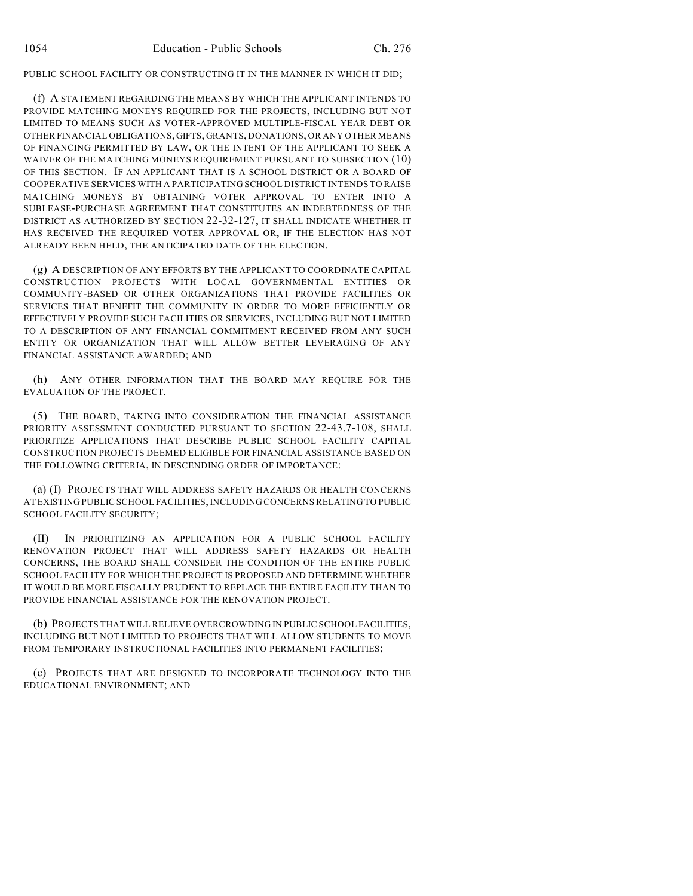PUBLIC SCHOOL FACILITY OR CONSTRUCTING IT IN THE MANNER IN WHICH IT DID;

(f) A STATEMENT REGARDING THE MEANS BY WHICH THE APPLICANT INTENDS TO PROVIDE MATCHING MONEYS REQUIRED FOR THE PROJECTS, INCLUDING BUT NOT LIMITED TO MEANS SUCH AS VOTER-APPROVED MULTIPLE-FISCAL YEAR DEBT OR OTHER FINANCIAL OBLIGATIONS, GIFTS, GRANTS, DONATIONS, OR ANY OTHER MEANS OF FINANCING PERMITTED BY LAW, OR THE INTENT OF THE APPLICANT TO SEEK A WAIVER OF THE MATCHING MONEYS REQUIREMENT PURSUANT TO SUBSECTION (10) OF THIS SECTION. IF AN APPLICANT THAT IS A SCHOOL DISTRICT OR A BOARD OF COOPERATIVE SERVICES WITH A PARTICIPATING SCHOOL DISTRICT INTENDS TO RAISE MATCHING MONEYS BY OBTAINING VOTER APPROVAL TO ENTER INTO A SUBLEASE-PURCHASE AGREEMENT THAT CONSTITUTES AN INDEBTEDNESS OF THE DISTRICT AS AUTHORIZED BY SECTION 22-32-127, IT SHALL INDICATE WHETHER IT HAS RECEIVED THE REQUIRED VOTER APPROVAL OR, IF THE ELECTION HAS NOT ALREADY BEEN HELD, THE ANTICIPATED DATE OF THE ELECTION.

(g) A DESCRIPTION OF ANY EFFORTS BY THE APPLICANT TO COORDINATE CAPITAL CONSTRUCTION PROJECTS WITH LOCAL GOVERNMENTAL ENTITIES OR COMMUNITY-BASED OR OTHER ORGANIZATIONS THAT PROVIDE FACILITIES OR SERVICES THAT BENEFIT THE COMMUNITY IN ORDER TO MORE EFFICIENTLY OR EFFECTIVELY PROVIDE SUCH FACILITIES OR SERVICES, INCLUDING BUT NOT LIMITED TO A DESCRIPTION OF ANY FINANCIAL COMMITMENT RECEIVED FROM ANY SUCH ENTITY OR ORGANIZATION THAT WILL ALLOW BETTER LEVERAGING OF ANY FINANCIAL ASSISTANCE AWARDED; AND

(h) ANY OTHER INFORMATION THAT THE BOARD MAY REQUIRE FOR THE EVALUATION OF THE PROJECT.

(5) THE BOARD, TAKING INTO CONSIDERATION THE FINANCIAL ASSISTANCE PRIORITY ASSESSMENT CONDUCTED PURSUANT TO SECTION 22-43.7-108, SHALL PRIORITIZE APPLICATIONS THAT DESCRIBE PUBLIC SCHOOL FACILITY CAPITAL CONSTRUCTION PROJECTS DEEMED ELIGIBLE FOR FINANCIAL ASSISTANCE BASED ON THE FOLLOWING CRITERIA, IN DESCENDING ORDER OF IMPORTANCE:

(a) (I) PROJECTS THAT WILL ADDRESS SAFETY HAZARDS OR HEALTH CONCERNS AT EXISTING PUBLIC SCHOOL FACILITIES, INCLUDING CONCERNS RELATING TO PUBLIC SCHOOL FACILITY SECURITY;

(II) IN PRIORITIZING AN APPLICATION FOR A PUBLIC SCHOOL FACILITY RENOVATION PROJECT THAT WILL ADDRESS SAFETY HAZARDS OR HEALTH CONCERNS, THE BOARD SHALL CONSIDER THE CONDITION OF THE ENTIRE PUBLIC SCHOOL FACILITY FOR WHICH THE PROJECT IS PROPOSED AND DETERMINE WHETHER IT WOULD BE MORE FISCALLY PRUDENT TO REPLACE THE ENTIRE FACILITY THAN TO PROVIDE FINANCIAL ASSISTANCE FOR THE RENOVATION PROJECT.

(b) PROJECTS THAT WILL RELIEVE OVERCROWDING IN PUBLIC SCHOOL FACILITIES, INCLUDING BUT NOT LIMITED TO PROJECTS THAT WILL ALLOW STUDENTS TO MOVE FROM TEMPORARY INSTRUCTIONAL FACILITIES INTO PERMANENT FACILITIES;

(c) PROJECTS THAT ARE DESIGNED TO INCORPORATE TECHNOLOGY INTO THE EDUCATIONAL ENVIRONMENT; AND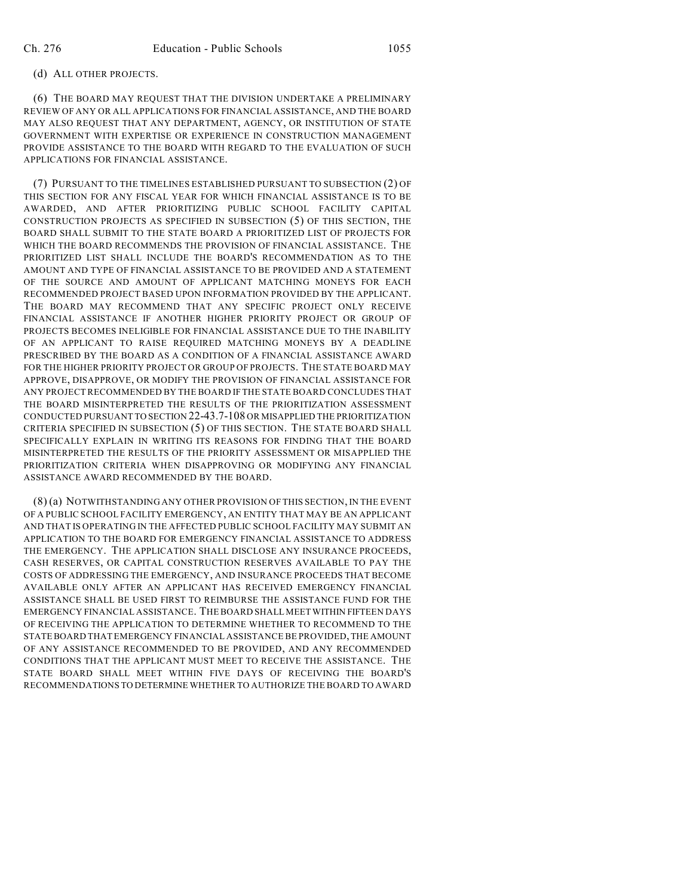### (d) ALL OTHER PROJECTS.

(6) THE BOARD MAY REQUEST THAT THE DIVISION UNDERTAKE A PRELIMINARY REVIEW OF ANY OR ALL APPLICATIONS FOR FINANCIAL ASSISTANCE, AND THE BOARD MAY ALSO REQUEST THAT ANY DEPARTMENT, AGENCY, OR INSTITUTION OF STATE GOVERNMENT WITH EXPERTISE OR EXPERIENCE IN CONSTRUCTION MANAGEMENT PROVIDE ASSISTANCE TO THE BOARD WITH REGARD TO THE EVALUATION OF SUCH APPLICATIONS FOR FINANCIAL ASSISTANCE.

(7) PURSUANT TO THE TIMELINES ESTABLISHED PURSUANT TO SUBSECTION (2) OF THIS SECTION FOR ANY FISCAL YEAR FOR WHICH FINANCIAL ASSISTANCE IS TO BE AWARDED, AND AFTER PRIORITIZING PUBLIC SCHOOL FACILITY CAPITAL CONSTRUCTION PROJECTS AS SPECIFIED IN SUBSECTION (5) OF THIS SECTION, THE BOARD SHALL SUBMIT TO THE STATE BOARD A PRIORITIZED LIST OF PROJECTS FOR WHICH THE BOARD RECOMMENDS THE PROVISION OF FINANCIAL ASSISTANCE. THE PRIORITIZED LIST SHALL INCLUDE THE BOARD'S RECOMMENDATION AS TO THE AMOUNT AND TYPE OF FINANCIAL ASSISTANCE TO BE PROVIDED AND A STATEMENT OF THE SOURCE AND AMOUNT OF APPLICANT MATCHING MONEYS FOR EACH RECOMMENDED PROJECT BASED UPON INFORMATION PROVIDED BY THE APPLICANT. THE BOARD MAY RECOMMEND THAT ANY SPECIFIC PROJECT ONLY RECEIVE FINANCIAL ASSISTANCE IF ANOTHER HIGHER PRIORITY PROJECT OR GROUP OF PROJECTS BECOMES INELIGIBLE FOR FINANCIAL ASSISTANCE DUE TO THE INABILITY OF AN APPLICANT TO RAISE REQUIRED MATCHING MONEYS BY A DEADLINE PRESCRIBED BY THE BOARD AS A CONDITION OF A FINANCIAL ASSISTANCE AWARD FOR THE HIGHER PRIORITY PROJECT OR GROUP OF PROJECTS. THE STATE BOARD MAY APPROVE, DISAPPROVE, OR MODIFY THE PROVISION OF FINANCIAL ASSISTANCE FOR ANY PROJECT RECOMMENDED BY THE BOARD IF THE STATE BOARD CONCLUDES THAT THE BOARD MISINTERPRETED THE RESULTS OF THE PRIORITIZATION ASSESSMENT CONDUCTED PURSUANT TO SECTION 22-43.7-108 OR MISAPPLIED THE PRIORITIZATION CRITERIA SPECIFIED IN SUBSECTION (5) OF THIS SECTION. THE STATE BOARD SHALL SPECIFICALLY EXPLAIN IN WRITING ITS REASONS FOR FINDING THAT THE BOARD MISINTERPRETED THE RESULTS OF THE PRIORITY ASSESSMENT OR MISAPPLIED THE PRIORITIZATION CRITERIA WHEN DISAPPROVING OR MODIFYING ANY FINANCIAL ASSISTANCE AWARD RECOMMENDED BY THE BOARD.

(8) (a) NOTWITHSTANDING ANY OTHER PROVISION OF THIS SECTION, IN THE EVENT OF A PUBLIC SCHOOL FACILITY EMERGENCY, AN ENTITY THAT MAY BE AN APPLICANT AND THAT IS OPERATING IN THE AFFECTED PUBLIC SCHOOL FACILITY MAY SUBMIT AN APPLICATION TO THE BOARD FOR EMERGENCY FINANCIAL ASSISTANCE TO ADDRESS THE EMERGENCY. THE APPLICATION SHALL DISCLOSE ANY INSURANCE PROCEEDS, CASH RESERVES, OR CAPITAL CONSTRUCTION RESERVES AVAILABLE TO PAY THE COSTS OF ADDRESSING THE EMERGENCY, AND INSURANCE PROCEEDS THAT BECOME AVAILABLE ONLY AFTER AN APPLICANT HAS RECEIVED EMERGENCY FINANCIAL ASSISTANCE SHALL BE USED FIRST TO REIMBURSE THE ASSISTANCE FUND FOR THE EMERGENCY FINANCIAL ASSISTANCE. THE BOARD SHALL MEET WITHIN FIFTEEN DAYS OF RECEIVING THE APPLICATION TO DETERMINE WHETHER TO RECOMMEND TO THE STATE BOARD THAT EMERGENCY FINANCIAL ASSISTANCE BE PROVIDED, THE AMOUNT OF ANY ASSISTANCE RECOMMENDED TO BE PROVIDED, AND ANY RECOMMENDED CONDITIONS THAT THE APPLICANT MUST MEET TO RECEIVE THE ASSISTANCE. THE STATE BOARD SHALL MEET WITHIN FIVE DAYS OF RECEIVING THE BOARD'S RECOMMENDATIONS TO DETERMINE WHETHER TO AUTHORIZE THE BOARD TO AWARD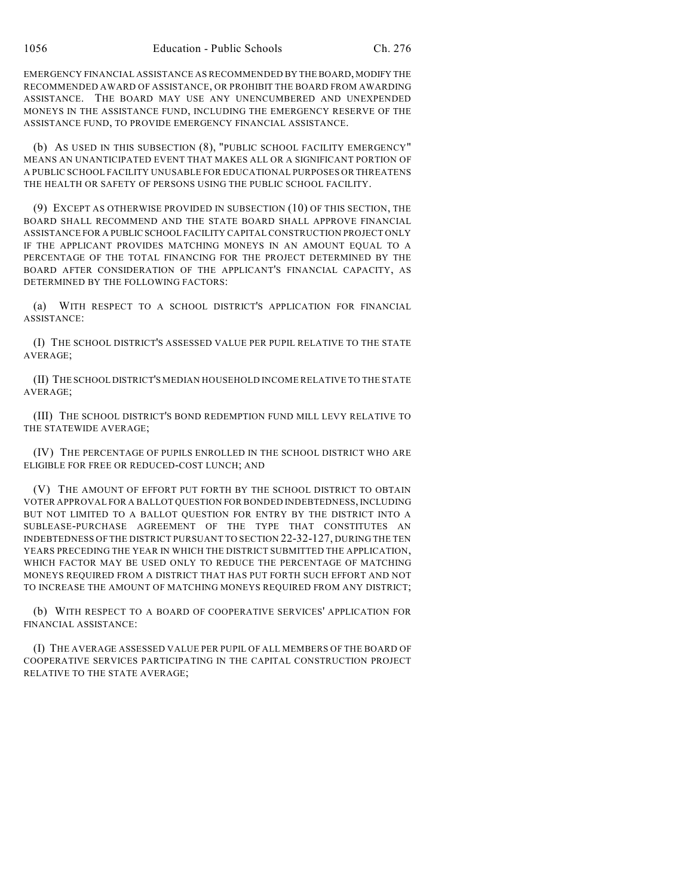EMERGENCY FINANCIAL ASSISTANCE AS RECOMMENDED BY THE BOARD, MODIFY THE RECOMMENDED AWARD OF ASSISTANCE, OR PROHIBIT THE BOARD FROM AWARDING ASSISTANCE. THE BOARD MAY USE ANY UNENCUMBERED AND UNEXPENDED MONEYS IN THE ASSISTANCE FUND, INCLUDING THE EMERGENCY RESERVE OF THE ASSISTANCE FUND, TO PROVIDE EMERGENCY FINANCIAL ASSISTANCE.

(b) AS USED IN THIS SUBSECTION (8), "PUBLIC SCHOOL FACILITY EMERGENCY" MEANS AN UNANTICIPATED EVENT THAT MAKES ALL OR A SIGNIFICANT PORTION OF A PUBLIC SCHOOL FACILITY UNUSABLE FOR EDUCATIONAL PURPOSES OR THREATENS THE HEALTH OR SAFETY OF PERSONS USING THE PUBLIC SCHOOL FACILITY.

(9) EXCEPT AS OTHERWISE PROVIDED IN SUBSECTION (10) OF THIS SECTION, THE BOARD SHALL RECOMMEND AND THE STATE BOARD SHALL APPROVE FINANCIAL ASSISTANCE FOR A PUBLIC SCHOOL FACILITY CAPITAL CONSTRUCTION PROJECT ONLY IF THE APPLICANT PROVIDES MATCHING MONEYS IN AN AMOUNT EQUAL TO A PERCENTAGE OF THE TOTAL FINANCING FOR THE PROJECT DETERMINED BY THE BOARD AFTER CONSIDERATION OF THE APPLICANT'S FINANCIAL CAPACITY, AS DETERMINED BY THE FOLLOWING FACTORS:

(a) WITH RESPECT TO A SCHOOL DISTRICT'S APPLICATION FOR FINANCIAL ASSISTANCE:

(I) THE SCHOOL DISTRICT'S ASSESSED VALUE PER PUPIL RELATIVE TO THE STATE AVERAGE;

(II) THE SCHOOL DISTRICT'S MEDIAN HOUSEHOLD INCOME RELATIVE TO THE STATE AVERAGE;

(III) THE SCHOOL DISTRICT'S BOND REDEMPTION FUND MILL LEVY RELATIVE TO THE STATEWIDE AVERAGE;

(IV) THE PERCENTAGE OF PUPILS ENROLLED IN THE SCHOOL DISTRICT WHO ARE ELIGIBLE FOR FREE OR REDUCED-COST LUNCH; AND

(V) THE AMOUNT OF EFFORT PUT FORTH BY THE SCHOOL DISTRICT TO OBTAIN VOTER APPROVAL FOR A BALLOT QUESTION FOR BONDED INDEBTEDNESS, INCLUDING BUT NOT LIMITED TO A BALLOT QUESTION FOR ENTRY BY THE DISTRICT INTO A SUBLEASE-PURCHASE AGREEMENT OF THE TYPE THAT CONSTITUTES AN INDEBTEDNESS OF THE DISTRICT PURSUANT TO SECTION 22-32-127, DURING THE TEN YEARS PRECEDING THE YEAR IN WHICH THE DISTRICT SUBMITTED THE APPLICATION, WHICH FACTOR MAY BE USED ONLY TO REDUCE THE PERCENTAGE OF MATCHING MONEYS REQUIRED FROM A DISTRICT THAT HAS PUT FORTH SUCH EFFORT AND NOT TO INCREASE THE AMOUNT OF MATCHING MONEYS REQUIRED FROM ANY DISTRICT;

(b) WITH RESPECT TO A BOARD OF COOPERATIVE SERVICES' APPLICATION FOR FINANCIAL ASSISTANCE:

(I) THE AVERAGE ASSESSED VALUE PER PUPIL OF ALL MEMBERS OF THE BOARD OF COOPERATIVE SERVICES PARTICIPATING IN THE CAPITAL CONSTRUCTION PROJECT RELATIVE TO THE STATE AVERAGE;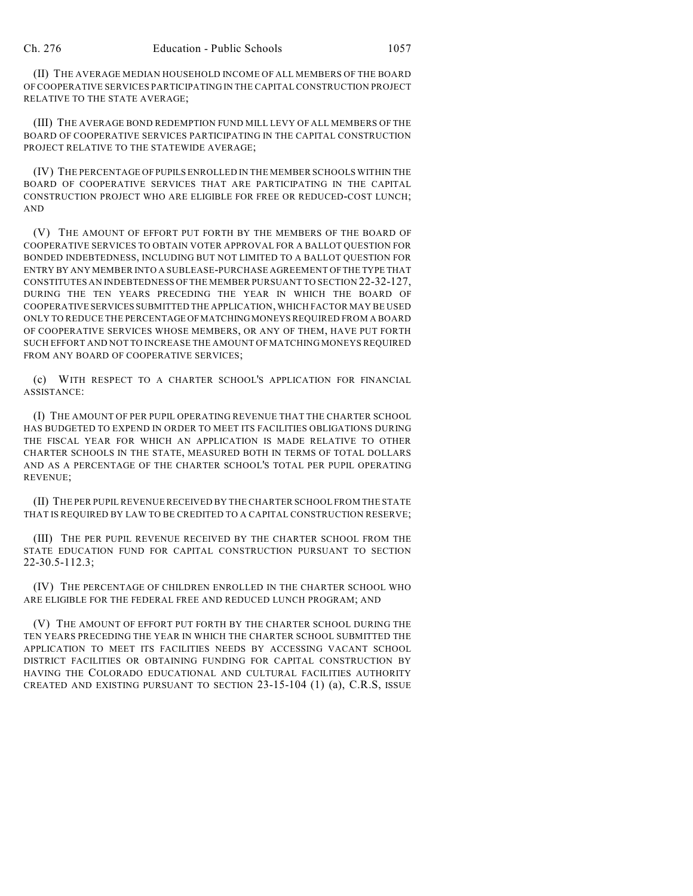(II) THE AVERAGE MEDIAN HOUSEHOLD INCOME OF ALL MEMBERS OF THE BOARD OF COOPERATIVE SERVICES PARTICIPATING IN THE CAPITAL CONSTRUCTION PROJECT RELATIVE TO THE STATE AVERAGE;

(III) THE AVERAGE BOND REDEMPTION FUND MILL LEVY OF ALL MEMBERS OF THE BOARD OF COOPERATIVE SERVICES PARTICIPATING IN THE CAPITAL CONSTRUCTION PROJECT RELATIVE TO THE STATEWIDE AVERAGE;

(IV) THE PERCENTAGE OF PUPILS ENROLLED IN THE MEMBER SCHOOLS WITHIN THE BOARD OF COOPERATIVE SERVICES THAT ARE PARTICIPATING IN THE CAPITAL CONSTRUCTION PROJECT WHO ARE ELIGIBLE FOR FREE OR REDUCED-COST LUNCH; AND

(V) THE AMOUNT OF EFFORT PUT FORTH BY THE MEMBERS OF THE BOARD OF COOPERATIVE SERVICES TO OBTAIN VOTER APPROVAL FOR A BALLOT QUESTION FOR BONDED INDEBTEDNESS, INCLUDING BUT NOT LIMITED TO A BALLOT QUESTION FOR ENTRY BY ANY MEMBER INTO A SUBLEASE-PURCHASE AGREEMENT OF THE TYPE THAT CONSTITUTES AN INDEBTEDNESS OF THE MEMBER PURSUANT TO SECTION 22-32-127, DURING THE TEN YEARS PRECEDING THE YEAR IN WHICH THE BOARD OF COOPERATIVE SERVICES SUBMITTED THE APPLICATION, WHICH FACTOR MAY BE USED ONLY TO REDUCE THE PERCENTAGE OF MATCHING MONEYS REQUIRED FROM A BOARD OF COOPERATIVE SERVICES WHOSE MEMBERS, OR ANY OF THEM, HAVE PUT FORTH SUCH EFFORT AND NOT TO INCREASE THE AMOUNT OF MATCHING MONEYS REQUIRED FROM ANY BOARD OF COOPERATIVE SERVICES;

(c) WITH RESPECT TO A CHARTER SCHOOL'S APPLICATION FOR FINANCIAL ASSISTANCE:

(I) THE AMOUNT OF PER PUPIL OPERATING REVENUE THAT THE CHARTER SCHOOL HAS BUDGETED TO EXPEND IN ORDER TO MEET ITS FACILITIES OBLIGATIONS DURING THE FISCAL YEAR FOR WHICH AN APPLICATION IS MADE RELATIVE TO OTHER CHARTER SCHOOLS IN THE STATE, MEASURED BOTH IN TERMS OF TOTAL DOLLARS AND AS A PERCENTAGE OF THE CHARTER SCHOOL'S TOTAL PER PUPIL OPERATING REVENUE;

(II) THE PER PUPIL REVENUE RECEIVED BY THE CHARTER SCHOOL FROM THE STATE THAT IS REQUIRED BY LAW TO BE CREDITED TO A CAPITAL CONSTRUCTION RESERVE;

(III) THE PER PUPIL REVENUE RECEIVED BY THE CHARTER SCHOOL FROM THE STATE EDUCATION FUND FOR CAPITAL CONSTRUCTION PURSUANT TO SECTION 22-30.5-112.3;

(IV) THE PERCENTAGE OF CHILDREN ENROLLED IN THE CHARTER SCHOOL WHO ARE ELIGIBLE FOR THE FEDERAL FREE AND REDUCED LUNCH PROGRAM; AND

(V) THE AMOUNT OF EFFORT PUT FORTH BY THE CHARTER SCHOOL DURING THE TEN YEARS PRECEDING THE YEAR IN WHICH THE CHARTER SCHOOL SUBMITTED THE APPLICATION TO MEET ITS FACILITIES NEEDS BY ACCESSING VACANT SCHOOL DISTRICT FACILITIES OR OBTAINING FUNDING FOR CAPITAL CONSTRUCTION BY HAVING THE COLORADO EDUCATIONAL AND CULTURAL FACILITIES AUTHORITY CREATED AND EXISTING PURSUANT TO SECTION 23-15-104 (1) (a), C.R.S, ISSUE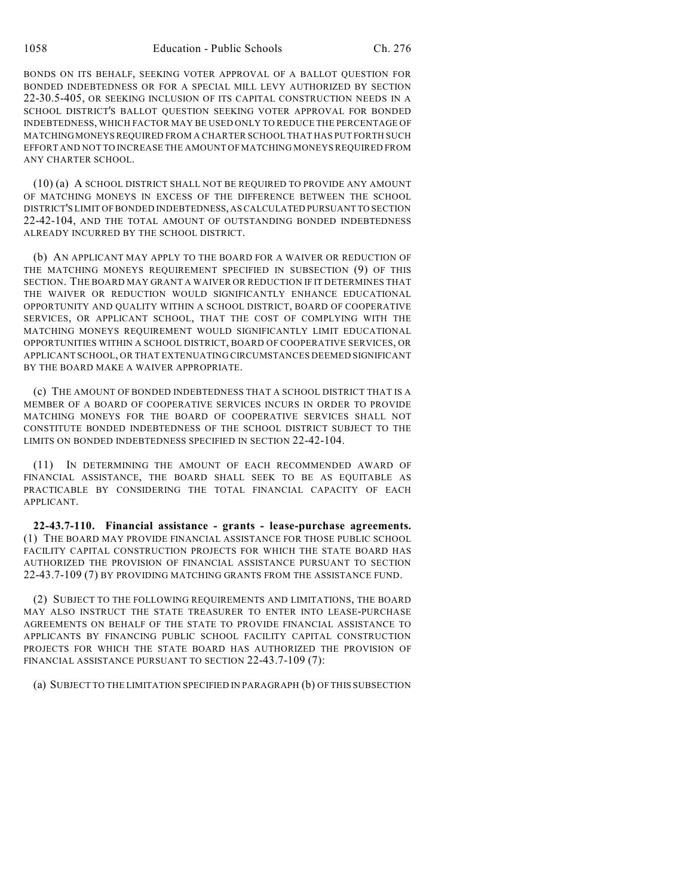BONDS ON ITS BEHALF, SEEKING VOTER APPROVAL OF A BALLOT QUESTION FOR BONDED INDEBTEDNESS OR FOR A SPECIAL MILL LEVY AUTHORIZED BY SECTION 22-30.5-405, OR SEEKING INCLUSION OF ITS CAPITAL CONSTRUCTION NEEDS IN A SCHOOL DISTRICT'S BALLOT QUESTION SEEKING VOTER APPROVAL FOR BONDED INDEBTEDNESS, WHICH FACTOR MAY BE USED ONLY TO REDUCE THE PERCENTAGE OF MATCHING MONEYS REQUIRED FROM A CHARTER SCHOOL THAT HAS PUT FORTH SUCH EFFORT AND NOT TO INCREASE THE AMOUNT OF MATCHING MONEYS REQUIRED FROM ANY CHARTER SCHOOL.

(10) (a) A SCHOOL DISTRICT SHALL NOT BE REQUIRED TO PROVIDE ANY AMOUNT OF MATCHING MONEYS IN EXCESS OF THE DIFFERENCE BETWEEN THE SCHOOL DISTRICT'S LIMIT OF BONDED INDEBTEDNESS, AS CALCULATED PURSUANT TO SECTION 22-42-104, AND THE TOTAL AMOUNT OF OUTSTANDING BONDED INDEBTEDNESS ALREADY INCURRED BY THE SCHOOL DISTRICT.

(b) AN APPLICANT MAY APPLY TO THE BOARD FOR A WAIVER OR REDUCTION OF THE MATCHING MONEYS REQUIREMENT SPECIFIED IN SUBSECTION (9) OF THIS SECTION. THE BOARD MAY GRANT A WAIVER OR REDUCTION IF IT DETERMINES THAT THE WAIVER OR REDUCTION WOULD SIGNIFICANTLY ENHANCE EDUCATIONAL OPPORTUNITY AND QUALITY WITHIN A SCHOOL DISTRICT, BOARD OF COOPERATIVE SERVICES, OR APPLICANT SCHOOL, THAT THE COST OF COMPLYING WITH THE MATCHING MONEYS REQUIREMENT WOULD SIGNIFICANTLY LIMIT EDUCATIONAL OPPORTUNITIES WITHIN A SCHOOL DISTRICT, BOARD OF COOPERATIVE SERVICES, OR APPLICANT SCHOOL, OR THAT EXTENUATING CIRCUMSTANCES DEEMED SIGNIFICANT BY THE BOARD MAKE A WAIVER APPROPRIATE.

(c) THE AMOUNT OF BONDED INDEBTEDNESS THAT A SCHOOL DISTRICT THAT IS A MEMBER OF A BOARD OF COOPERATIVE SERVICES INCURS IN ORDER TO PROVIDE MATCHING MONEYS FOR THE BOARD OF COOPERATIVE SERVICES SHALL NOT CONSTITUTE BONDED INDEBTEDNESS OF THE SCHOOL DISTRICT SUBJECT TO THE LIMITS ON BONDED INDEBTEDNESS SPECIFIED IN SECTION 22-42-104.

(11) IN DETERMINING THE AMOUNT OF EACH RECOMMENDED AWARD OF FINANCIAL ASSISTANCE, THE BOARD SHALL SEEK TO BE AS EQUITABLE AS PRACTICABLE BY CONSIDERING THE TOTAL FINANCIAL CAPACITY OF EACH APPLICANT.

**22-43.7-110. Financial assistance - grants - lease-purchase agreements.** (1) THE BOARD MAY PROVIDE FINANCIAL ASSISTANCE FOR THOSE PUBLIC SCHOOL FACILITY CAPITAL CONSTRUCTION PROJECTS FOR WHICH THE STATE BOARD HAS AUTHORIZED THE PROVISION OF FINANCIAL ASSISTANCE PURSUANT TO SECTION 22-43.7-109 (7) BY PROVIDING MATCHING GRANTS FROM THE ASSISTANCE FUND.

(2) SUBJECT TO THE FOLLOWING REQUIREMENTS AND LIMITATIONS, THE BOARD MAY ALSO INSTRUCT THE STATE TREASURER TO ENTER INTO LEASE-PURCHASE AGREEMENTS ON BEHALF OF THE STATE TO PROVIDE FINANCIAL ASSISTANCE TO APPLICANTS BY FINANCING PUBLIC SCHOOL FACILITY CAPITAL CONSTRUCTION PROJECTS FOR WHICH THE STATE BOARD HAS AUTHORIZED THE PROVISION OF FINANCIAL ASSISTANCE PURSUANT TO SECTION 22-43.7-109 (7):

(a) SUBJECT TO THE LIMITATION SPECIFIED IN PARAGRAPH (b) OF THIS SUBSECTION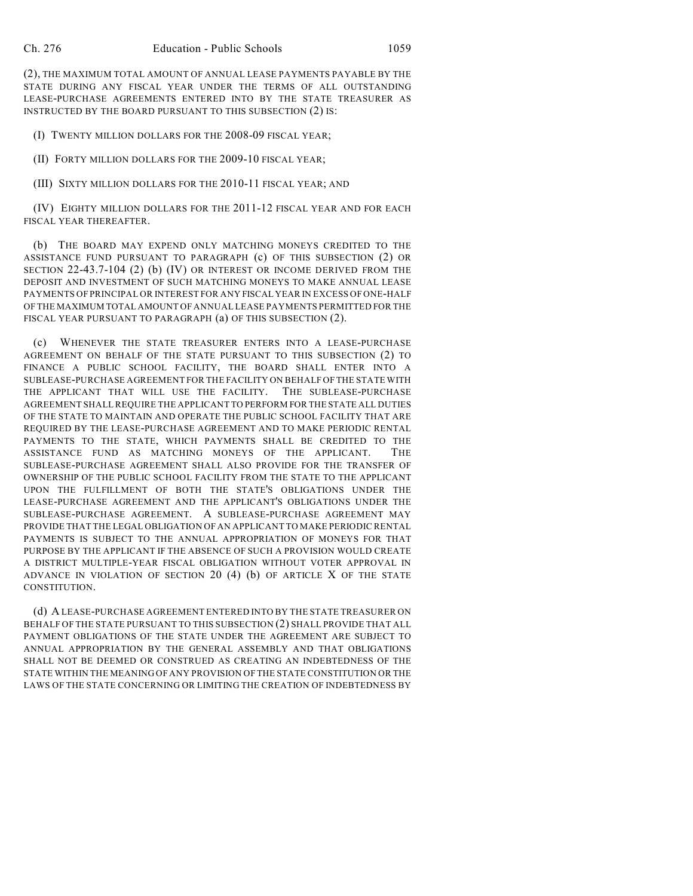(2), THE MAXIMUM TOTAL AMOUNT OF ANNUAL LEASE PAYMENTS PAYABLE BY THE STATE DURING ANY FISCAL YEAR UNDER THE TERMS OF ALL OUTSTANDING LEASE-PURCHASE AGREEMENTS ENTERED INTO BY THE STATE TREASURER AS INSTRUCTED BY THE BOARD PURSUANT TO THIS SUBSECTION (2) IS:

(I) TWENTY MILLION DOLLARS FOR THE 2008-09 FISCAL YEAR;

(II) FORTY MILLION DOLLARS FOR THE 2009-10 FISCAL YEAR;

(III) SIXTY MILLION DOLLARS FOR THE 2010-11 FISCAL YEAR; AND

(IV) EIGHTY MILLION DOLLARS FOR THE 2011-12 FISCAL YEAR AND FOR EACH FISCAL YEAR THEREAFTER.

(b) THE BOARD MAY EXPEND ONLY MATCHING MONEYS CREDITED TO THE ASSISTANCE FUND PURSUANT TO PARAGRAPH (c) OF THIS SUBSECTION (2) OR SECTION 22-43.7-104 (2) (b) (IV) OR INTEREST OR INCOME DERIVED FROM THE DEPOSIT AND INVESTMENT OF SUCH MATCHING MONEYS TO MAKE ANNUAL LEASE PAYMENTS OF PRINCIPAL OR INTEREST FOR ANY FISCAL YEAR IN EXCESS OF ONE-HALF OF THE MAXIMUM TOTAL AMOUNT OF ANNUAL LEASE PAYMENTS PERMITTED FOR THE FISCAL YEAR PURSUANT TO PARAGRAPH (a) OF THIS SUBSECTION (2).

(c) WHENEVER THE STATE TREASURER ENTERS INTO A LEASE-PURCHASE AGREEMENT ON BEHALF OF THE STATE PURSUANT TO THIS SUBSECTION (2) TO FINANCE A PUBLIC SCHOOL FACILITY, THE BOARD SHALL ENTER INTO A SUBLEASE-PURCHASE AGREEMENT FOR THE FACILITY ON BEHALF OF THE STATE WITH THE APPLICANT THAT WILL USE THE FACILITY. THE SUBLEASE-PURCHASE AGREEMENT SHALL REQUIRE THE APPLICANT TO PERFORM FOR THE STATE ALL DUTIES OF THE STATE TO MAINTAIN AND OPERATE THE PUBLIC SCHOOL FACILITY THAT ARE REQUIRED BY THE LEASE-PURCHASE AGREEMENT AND TO MAKE PERIODIC RENTAL PAYMENTS TO THE STATE, WHICH PAYMENTS SHALL BE CREDITED TO THE ASSISTANCE FUND AS MATCHING MONEYS OF THE APPLICANT. THE SUBLEASE-PURCHASE AGREEMENT SHALL ALSO PROVIDE FOR THE TRANSFER OF OWNERSHIP OF THE PUBLIC SCHOOL FACILITY FROM THE STATE TO THE APPLICANT UPON THE FULFILLMENT OF BOTH THE STATE'S OBLIGATIONS UNDER THE LEASE-PURCHASE AGREEMENT AND THE APPLICANT'S OBLIGATIONS UNDER THE SUBLEASE-PURCHASE AGREEMENT. A SUBLEASE-PURCHASE AGREEMENT MAY PROVIDE THAT THE LEGAL OBLIGATION OF AN APPLICANT TO MAKE PERIODIC RENTAL PAYMENTS IS SUBJECT TO THE ANNUAL APPROPRIATION OF MONEYS FOR THAT PURPOSE BY THE APPLICANT IF THE ABSENCE OF SUCH A PROVISION WOULD CREATE A DISTRICT MULTIPLE-YEAR FISCAL OBLIGATION WITHOUT VOTER APPROVAL IN ADVANCE IN VIOLATION OF SECTION 20  $(4)$  (b) OF ARTICLE X OF THE STATE CONSTITUTION.

(d) A LEASE-PURCHASE AGREEMENT ENTERED INTO BY THE STATE TREASURER ON BEHALF OF THE STATE PURSUANT TO THIS SUBSECTION (2) SHALL PROVIDE THAT ALL PAYMENT OBLIGATIONS OF THE STATE UNDER THE AGREEMENT ARE SUBJECT TO ANNUAL APPROPRIATION BY THE GENERAL ASSEMBLY AND THAT OBLIGATIONS SHALL NOT BE DEEMED OR CONSTRUED AS CREATING AN INDEBTEDNESS OF THE STATE WITHIN THE MEANING OF ANY PROVISION OF THE STATE CONSTITUTION OR THE LAWS OF THE STATE CONCERNING OR LIMITING THE CREATION OF INDEBTEDNESS BY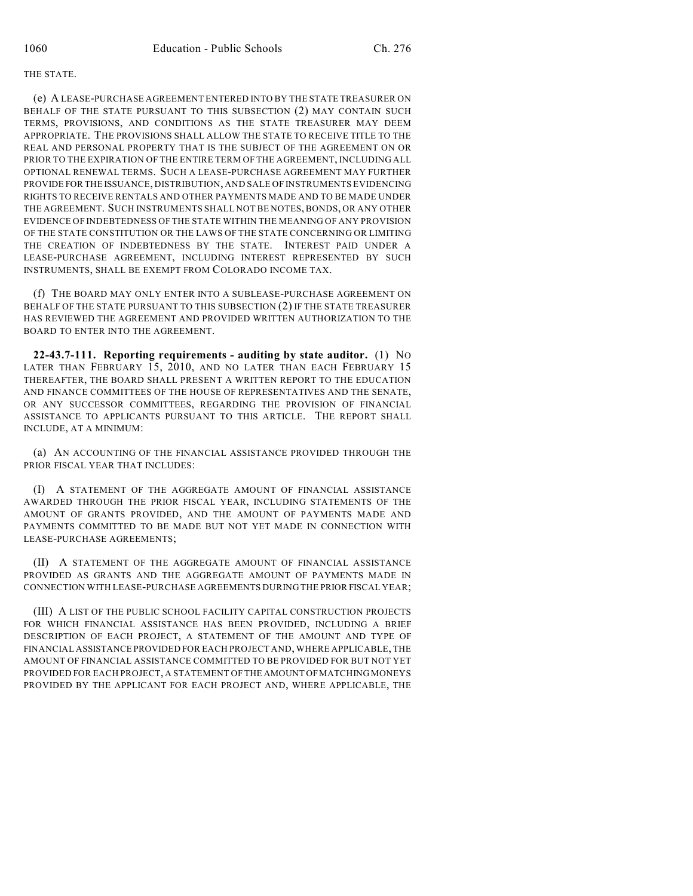#### THE STATE.

(e) A LEASE-PURCHASE AGREEMENT ENTERED INTO BY THE STATE TREASURER ON BEHALF OF THE STATE PURSUANT TO THIS SUBSECTION (2) MAY CONTAIN SUCH TERMS, PROVISIONS, AND CONDITIONS AS THE STATE TREASURER MAY DEEM APPROPRIATE. THE PROVISIONS SHALL ALLOW THE STATE TO RECEIVE TITLE TO THE REAL AND PERSONAL PROPERTY THAT IS THE SUBJECT OF THE AGREEMENT ON OR PRIOR TO THE EXPIRATION OF THE ENTIRE TERM OF THE AGREEMENT, INCLUDING ALL OPTIONAL RENEWAL TERMS. SUCH A LEASE-PURCHASE AGREEMENT MAY FURTHER PROVIDE FOR THE ISSUANCE, DISTRIBUTION, AND SALE OF INSTRUMENTS EVIDENCING RIGHTS TO RECEIVE RENTALS AND OTHER PAYMENTS MADE AND TO BE MADE UNDER THE AGREEMENT. SUCH INSTRUMENTS SHALL NOT BE NOTES, BONDS, OR ANY OTHER EVIDENCE OF INDEBTEDNESS OF THE STATE WITHIN THE MEANING OF ANY PROVISION OF THE STATE CONSTITUTION OR THE LAWS OF THE STATE CONCERNING OR LIMITING THE CREATION OF INDEBTEDNESS BY THE STATE. INTEREST PAID UNDER A LEASE-PURCHASE AGREEMENT, INCLUDING INTEREST REPRESENTED BY SUCH INSTRUMENTS, SHALL BE EXEMPT FROM COLORADO INCOME TAX.

(f) THE BOARD MAY ONLY ENTER INTO A SUBLEASE-PURCHASE AGREEMENT ON BEHALF OF THE STATE PURSUANT TO THIS SUBSECTION (2) IF THE STATE TREASURER HAS REVIEWED THE AGREEMENT AND PROVIDED WRITTEN AUTHORIZATION TO THE BOARD TO ENTER INTO THE AGREEMENT.

**22-43.7-111. Reporting requirements - auditing by state auditor.** (1) NO LATER THAN FEBRUARY 15, 2010, AND NO LATER THAN EACH FEBRUARY 15 THEREAFTER, THE BOARD SHALL PRESENT A WRITTEN REPORT TO THE EDUCATION AND FINANCE COMMITTEES OF THE HOUSE OF REPRESENTATIVES AND THE SENATE, OR ANY SUCCESSOR COMMITTEES, REGARDING THE PROVISION OF FINANCIAL ASSISTANCE TO APPLICANTS PURSUANT TO THIS ARTICLE. THE REPORT SHALL INCLUDE, AT A MINIMUM:

(a) AN ACCOUNTING OF THE FINANCIAL ASSISTANCE PROVIDED THROUGH THE PRIOR FISCAL YEAR THAT INCLUDES:

(I) A STATEMENT OF THE AGGREGATE AMOUNT OF FINANCIAL ASSISTANCE AWARDED THROUGH THE PRIOR FISCAL YEAR, INCLUDING STATEMENTS OF THE AMOUNT OF GRANTS PROVIDED, AND THE AMOUNT OF PAYMENTS MADE AND PAYMENTS COMMITTED TO BE MADE BUT NOT YET MADE IN CONNECTION WITH LEASE-PURCHASE AGREEMENTS;

(II) A STATEMENT OF THE AGGREGATE AMOUNT OF FINANCIAL ASSISTANCE PROVIDED AS GRANTS AND THE AGGREGATE AMOUNT OF PAYMENTS MADE IN CONNECTION WITH LEASE-PURCHASE AGREEMENTS DURING THE PRIOR FISCAL YEAR;

(III) A LIST OF THE PUBLIC SCHOOL FACILITY CAPITAL CONSTRUCTION PROJECTS FOR WHICH FINANCIAL ASSISTANCE HAS BEEN PROVIDED, INCLUDING A BRIEF DESCRIPTION OF EACH PROJECT, A STATEMENT OF THE AMOUNT AND TYPE OF FINANCIAL ASSISTANCE PROVIDED FOR EACH PROJECT AND, WHERE APPLICABLE, THE AMOUNT OF FINANCIAL ASSISTANCE COMMITTED TO BE PROVIDED FOR BUT NOT YET PROVIDED FOR EACH PROJECT, A STATEMENT OF THE AMOUNT OF MATCHING MONEYS PROVIDED BY THE APPLICANT FOR EACH PROJECT AND, WHERE APPLICABLE, THE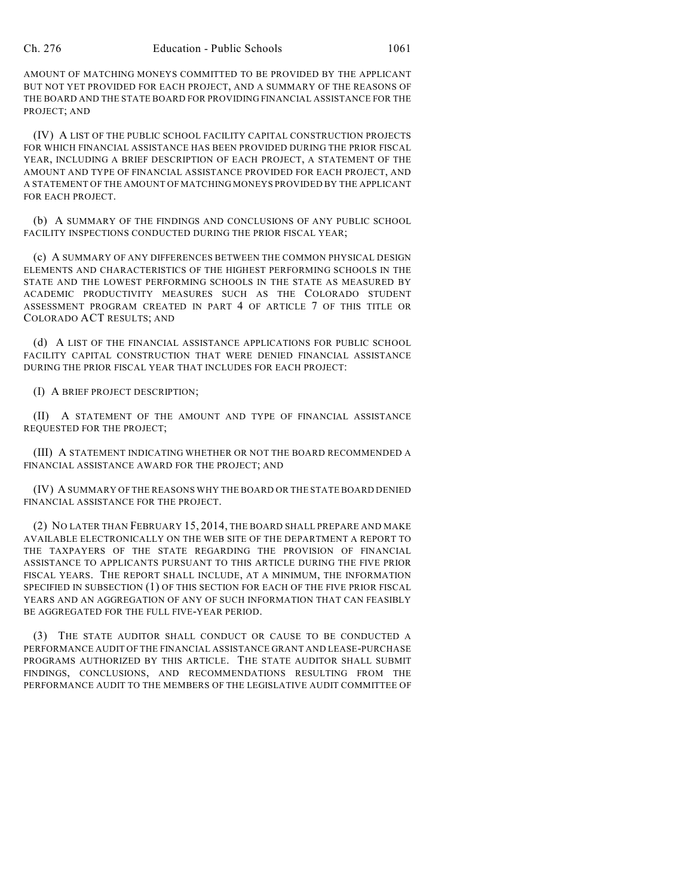AMOUNT OF MATCHING MONEYS COMMITTED TO BE PROVIDED BY THE APPLICANT BUT NOT YET PROVIDED FOR EACH PROJECT, AND A SUMMARY OF THE REASONS OF THE BOARD AND THE STATE BOARD FOR PROVIDING FINANCIAL ASSISTANCE FOR THE PROJECT; AND

(IV) A LIST OF THE PUBLIC SCHOOL FACILITY CAPITAL CONSTRUCTION PROJECTS FOR WHICH FINANCIAL ASSISTANCE HAS BEEN PROVIDED DURING THE PRIOR FISCAL YEAR, INCLUDING A BRIEF DESCRIPTION OF EACH PROJECT, A STATEMENT OF THE AMOUNT AND TYPE OF FINANCIAL ASSISTANCE PROVIDED FOR EACH PROJECT, AND A STATEMENT OF THE AMOUNT OF MATCHING MONEYS PROVIDED BY THE APPLICANT FOR EACH PROJECT.

(b) A SUMMARY OF THE FINDINGS AND CONCLUSIONS OF ANY PUBLIC SCHOOL FACILITY INSPECTIONS CONDUCTED DURING THE PRIOR FISCAL YEAR;

(c) A SUMMARY OF ANY DIFFERENCES BETWEEN THE COMMON PHYSICAL DESIGN ELEMENTS AND CHARACTERISTICS OF THE HIGHEST PERFORMING SCHOOLS IN THE STATE AND THE LOWEST PERFORMING SCHOOLS IN THE STATE AS MEASURED BY ACADEMIC PRODUCTIVITY MEASURES SUCH AS THE COLORADO STUDENT ASSESSMENT PROGRAM CREATED IN PART 4 OF ARTICLE 7 OF THIS TITLE OR COLORADO ACT RESULTS; AND

(d) A LIST OF THE FINANCIAL ASSISTANCE APPLICATIONS FOR PUBLIC SCHOOL FACILITY CAPITAL CONSTRUCTION THAT WERE DENIED FINANCIAL ASSISTANCE DURING THE PRIOR FISCAL YEAR THAT INCLUDES FOR EACH PROJECT:

(I) A BRIEF PROJECT DESCRIPTION;

(II) A STATEMENT OF THE AMOUNT AND TYPE OF FINANCIAL ASSISTANCE REQUESTED FOR THE PROJECT;

(III) A STATEMENT INDICATING WHETHER OR NOT THE BOARD RECOMMENDED A FINANCIAL ASSISTANCE AWARD FOR THE PROJECT; AND

(IV) A SUMMARY OF THE REASONS WHY THE BOARD OR THE STATE BOARD DENIED FINANCIAL ASSISTANCE FOR THE PROJECT.

(2) NO LATER THAN FEBRUARY 15, 2014, THE BOARD SHALL PREPARE AND MAKE AVAILABLE ELECTRONICALLY ON THE WEB SITE OF THE DEPARTMENT A REPORT TO THE TAXPAYERS OF THE STATE REGARDING THE PROVISION OF FINANCIAL ASSISTANCE TO APPLICANTS PURSUANT TO THIS ARTICLE DURING THE FIVE PRIOR FISCAL YEARS. THE REPORT SHALL INCLUDE, AT A MINIMUM, THE INFORMATION SPECIFIED IN SUBSECTION (1) OF THIS SECTION FOR EACH OF THE FIVE PRIOR FISCAL YEARS AND AN AGGREGATION OF ANY OF SUCH INFORMATION THAT CAN FEASIBLY BE AGGREGATED FOR THE FULL FIVE-YEAR PERIOD.

(3) THE STATE AUDITOR SHALL CONDUCT OR CAUSE TO BE CONDUCTED A PERFORMANCE AUDIT OF THE FINANCIAL ASSISTANCE GRANT AND LEASE-PURCHASE PROGRAMS AUTHORIZED BY THIS ARTICLE. THE STATE AUDITOR SHALL SUBMIT FINDINGS, CONCLUSIONS, AND RECOMMENDATIONS RESULTING FROM THE PERFORMANCE AUDIT TO THE MEMBERS OF THE LEGISLATIVE AUDIT COMMITTEE OF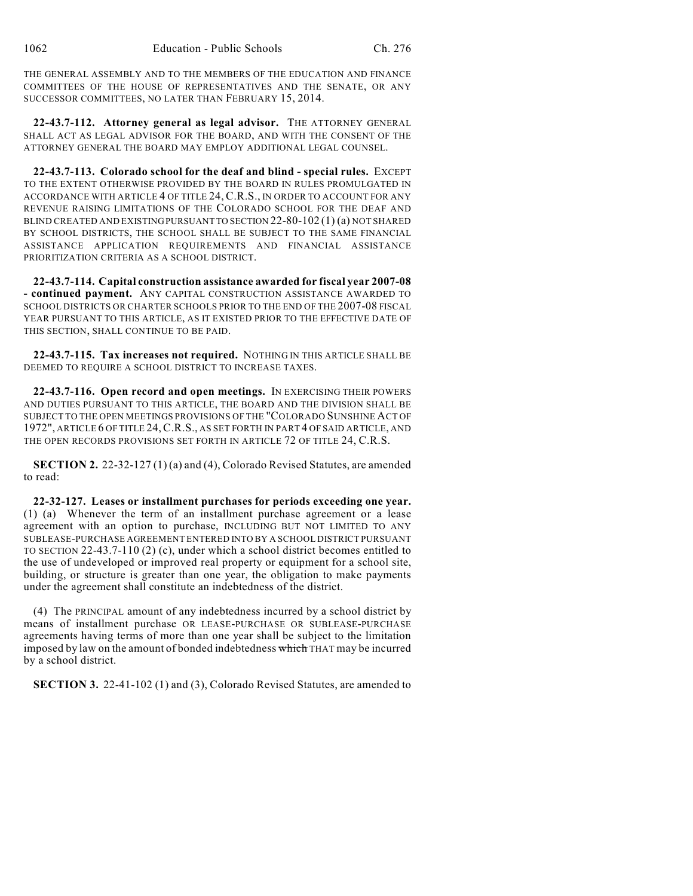THE GENERAL ASSEMBLY AND TO THE MEMBERS OF THE EDUCATION AND FINANCE COMMITTEES OF THE HOUSE OF REPRESENTATIVES AND THE SENATE, OR ANY SUCCESSOR COMMITTEES, NO LATER THAN FEBRUARY 15, 2014.

**22-43.7-112. Attorney general as legal advisor.** THE ATTORNEY GENERAL SHALL ACT AS LEGAL ADVISOR FOR THE BOARD, AND WITH THE CONSENT OF THE ATTORNEY GENERAL THE BOARD MAY EMPLOY ADDITIONAL LEGAL COUNSEL.

**22-43.7-113. Colorado school for the deaf and blind - special rules.** EXCEPT TO THE EXTENT OTHERWISE PROVIDED BY THE BOARD IN RULES PROMULGATED IN ACCORDANCE WITH ARTICLE 4 OF TITLE 24, C.R.S., IN ORDER TO ACCOUNT FOR ANY REVENUE RAISING LIMITATIONS OF THE COLORADO SCHOOL FOR THE DEAF AND BLIND CREATED AND EXISTING PURSUANT TO SECTION 22-80-102 (1) (a) NOT SHARED BY SCHOOL DISTRICTS, THE SCHOOL SHALL BE SUBJECT TO THE SAME FINANCIAL ASSISTANCE APPLICATION REQUIREMENTS AND FINANCIAL ASSISTANCE PRIORITIZATION CRITERIA AS A SCHOOL DISTRICT.

**22-43.7-114. Capital construction assistance awarded for fiscal year 2007-08 - continued payment.** ANY CAPITAL CONSTRUCTION ASSISTANCE AWARDED TO SCHOOL DISTRICTS OR CHARTER SCHOOLS PRIOR TO THE END OF THE 2007-08 FISCAL YEAR PURSUANT TO THIS ARTICLE, AS IT EXISTED PRIOR TO THE EFFECTIVE DATE OF THIS SECTION, SHALL CONTINUE TO BE PAID.

**22-43.7-115. Tax increases not required.** NOTHING IN THIS ARTICLE SHALL BE DEEMED TO REQUIRE A SCHOOL DISTRICT TO INCREASE TAXES.

**22-43.7-116. Open record and open meetings.** IN EXERCISING THEIR POWERS AND DUTIES PURSUANT TO THIS ARTICLE, THE BOARD AND THE DIVISION SHALL BE SUBJECT TO THE OPEN MEETINGS PROVISIONS OF THE "COLORADO SUNSHINE ACT OF 1972", ARTICLE 6 OF TITLE 24,C.R.S., AS SET FORTH IN PART 4 OF SAID ARTICLE, AND THE OPEN RECORDS PROVISIONS SET FORTH IN ARTICLE 72 OF TITLE 24, C.R.S.

**SECTION 2.** 22-32-127 (1) (a) and (4), Colorado Revised Statutes, are amended to read:

**22-32-127. Leases or installment purchases for periods exceeding one year.** (1) (a) Whenever the term of an installment purchase agreement or a lease agreement with an option to purchase, INCLUDING BUT NOT LIMITED TO ANY SUBLEASE-PURCHASE AGREEMENT ENTERED INTO BY A SCHOOL DISTRICT PURSUANT TO SECTION 22-43.7-110 (2) (c), under which a school district becomes entitled to the use of undeveloped or improved real property or equipment for a school site, building, or structure is greater than one year, the obligation to make payments under the agreement shall constitute an indebtedness of the district.

(4) The PRINCIPAL amount of any indebtedness incurred by a school district by means of installment purchase OR LEASE-PURCHASE OR SUBLEASE-PURCHASE agreements having terms of more than one year shall be subject to the limitation imposed by law on the amount of bonded indebtedness which THAT may be incurred by a school district.

**SECTION 3.** 22-41-102 (1) and (3), Colorado Revised Statutes, are amended to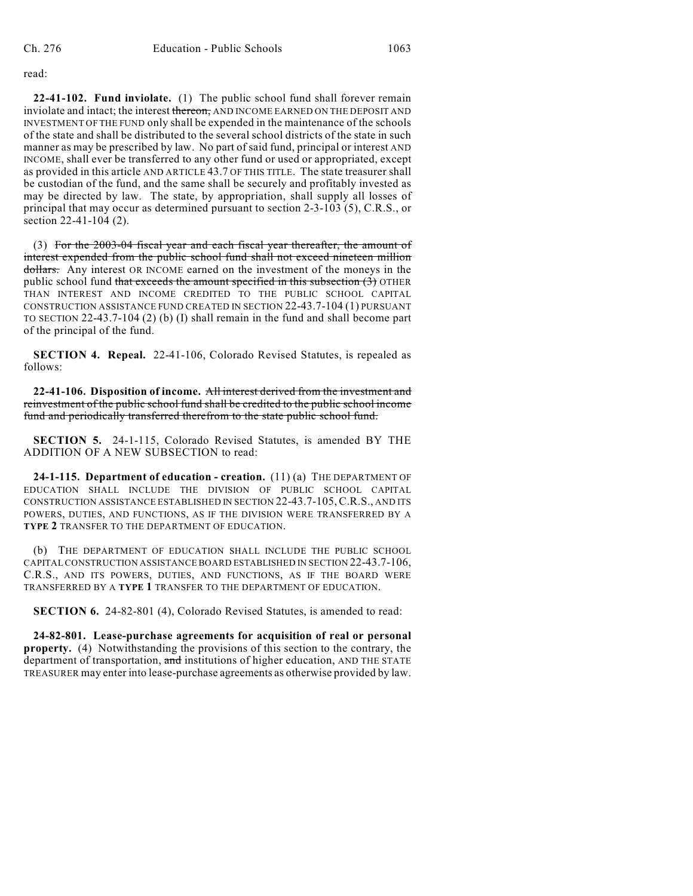read:

**22-41-102. Fund inviolate.** (1) The public school fund shall forever remain inviolate and intact; the interest thereon, AND INCOME EARNED ON THE DEPOSIT AND INVESTMENT OF THE FUND only shall be expended in the maintenance of the schools of the state and shall be distributed to the several school districts of the state in such manner as may be prescribed by law. No part of said fund, principal or interest AND INCOME, shall ever be transferred to any other fund or used or appropriated, except as provided in this article AND ARTICLE 43.7 OF THIS TITLE. The state treasurer shall be custodian of the fund, and the same shall be securely and profitably invested as may be directed by law. The state, by appropriation, shall supply all losses of principal that may occur as determined pursuant to section 2-3-103 (5), C.R.S., or section 22-41-104 (2).

(3) For the 2003-04 fiscal year and each fiscal year thereafter, the amount of interest expended from the public school fund shall not exceed nineteen million dollars. Any interest OR INCOME earned on the investment of the moneys in the public school fund that exceeds the amount specified in this subsection  $(3)$  OTHER THAN INTEREST AND INCOME CREDITED TO THE PUBLIC SCHOOL CAPITAL CONSTRUCTION ASSISTANCE FUND CREATED IN SECTION 22-43.7-104 (1) PURSUANT TO SECTION 22-43.7-104 (2) (b) (I) shall remain in the fund and shall become part of the principal of the fund.

**SECTION 4. Repeal.** 22-41-106, Colorado Revised Statutes, is repealed as follows:

**22-41-106. Disposition of income.** All interest derived from the investment and reinvestment of the public school fund shall be credited to the public school income fund and periodically transferred therefrom to the state public school fund.

**SECTION 5.** 24-1-115, Colorado Revised Statutes, is amended BY THE ADDITION OF A NEW SUBSECTION to read:

**24-1-115. Department of education - creation.** (11) (a) THE DEPARTMENT OF EDUCATION SHALL INCLUDE THE DIVISION OF PUBLIC SCHOOL CAPITAL CONSTRUCTION ASSISTANCE ESTABLISHED IN SECTION 22-43.7-105,C.R.S., AND ITS POWERS, DUTIES, AND FUNCTIONS, AS IF THE DIVISION WERE TRANSFERRED BY A **TYPE 2** TRANSFER TO THE DEPARTMENT OF EDUCATION.

(b) THE DEPARTMENT OF EDUCATION SHALL INCLUDE THE PUBLIC SCHOOL CAPITAL CONSTRUCTION ASSISTANCE BOARD ESTABLISHED IN SECTION 22-43.7-106, C.R.S., AND ITS POWERS, DUTIES, AND FUNCTIONS, AS IF THE BOARD WERE TRANSFERRED BY A **TYPE 1** TRANSFER TO THE DEPARTMENT OF EDUCATION.

**SECTION 6.** 24-82-801 (4), Colorado Revised Statutes, is amended to read:

**24-82-801. Lease-purchase agreements for acquisition of real or personal property.** (4) Notwithstanding the provisions of this section to the contrary, the department of transportation, and institutions of higher education, AND THE STATE TREASURER may enter into lease-purchase agreements as otherwise provided by law.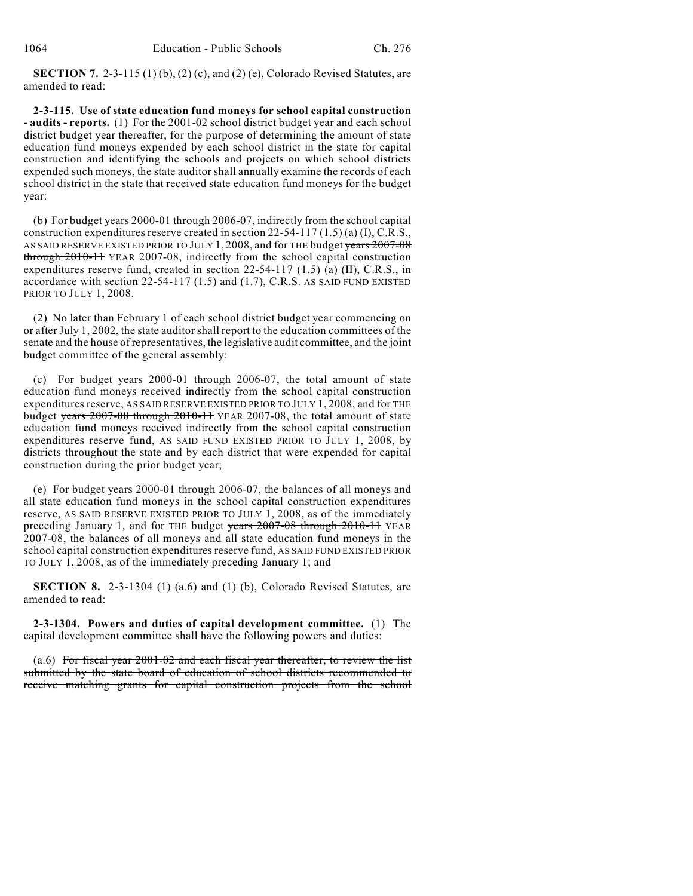**SECTION 7.** 2-3-115 (1) (b), (2) (c), and (2) (e), Colorado Revised Statutes, are amended to read:

**2-3-115. Use of state education fund moneys for school capital construction - audits - reports.** (1) For the 2001-02 school district budget year and each school district budget year thereafter, for the purpose of determining the amount of state education fund moneys expended by each school district in the state for capital construction and identifying the schools and projects on which school districts expended such moneys, the state auditor shall annually examine the records of each school district in the state that received state education fund moneys for the budget year:

(b) For budget years 2000-01 through 2006-07, indirectly from the school capital construction expenditures reserve created in section 22-54-117 (1.5) (a) (I), C.R.S., AS SAID RESERVE EXISTED PRIOR TO JULY 1, 2008, and for THE budget years 2007-08 through 2010-11 YEAR 2007-08, indirectly from the school capital construction expenditures reserve fund, created in section  $22-54-117$   $(1.5)$  (a) (II), C.R.S., in accordance with section  $22-54-117$   $(1.5)$  and  $(1.7)$ , C.R.S. AS SAID FUND EXISTED PRIOR TO JULY 1, 2008.

(2) No later than February 1 of each school district budget year commencing on or after July 1, 2002, the state auditor shall report to the education committees of the senate and the house of representatives, the legislative audit committee, and the joint budget committee of the general assembly:

(c) For budget years 2000-01 through 2006-07, the total amount of state education fund moneys received indirectly from the school capital construction expenditures reserve, AS SAID RESERVE EXISTED PRIOR TO JULY 1, 2008, and for THE budget years 2007-08 through 2010-11 YEAR 2007-08, the total amount of state education fund moneys received indirectly from the school capital construction expenditures reserve fund, AS SAID FUND EXISTED PRIOR TO JULY 1, 2008, by districts throughout the state and by each district that were expended for capital construction during the prior budget year;

(e) For budget years 2000-01 through 2006-07, the balances of all moneys and all state education fund moneys in the school capital construction expenditures reserve, AS SAID RESERVE EXISTED PRIOR TO JULY 1, 2008, as of the immediately preceding January 1, and for THE budget years 2007-08 through 2010-11 YEAR 2007-08, the balances of all moneys and all state education fund moneys in the school capital construction expenditures reserve fund, AS SAID FUND EXISTED PRIOR TO JULY 1, 2008, as of the immediately preceding January 1; and

**SECTION 8.** 2-3-1304 (1) (a.6) and (1) (b), Colorado Revised Statutes, are amended to read:

**2-3-1304. Powers and duties of capital development committee.** (1) The capital development committee shall have the following powers and duties:

(a.6) For fiscal year 2001-02 and each fiscal year thereafter, to review the list submitted by the state board of education of school districts recommended to receive matching grants for capital construction projects from the school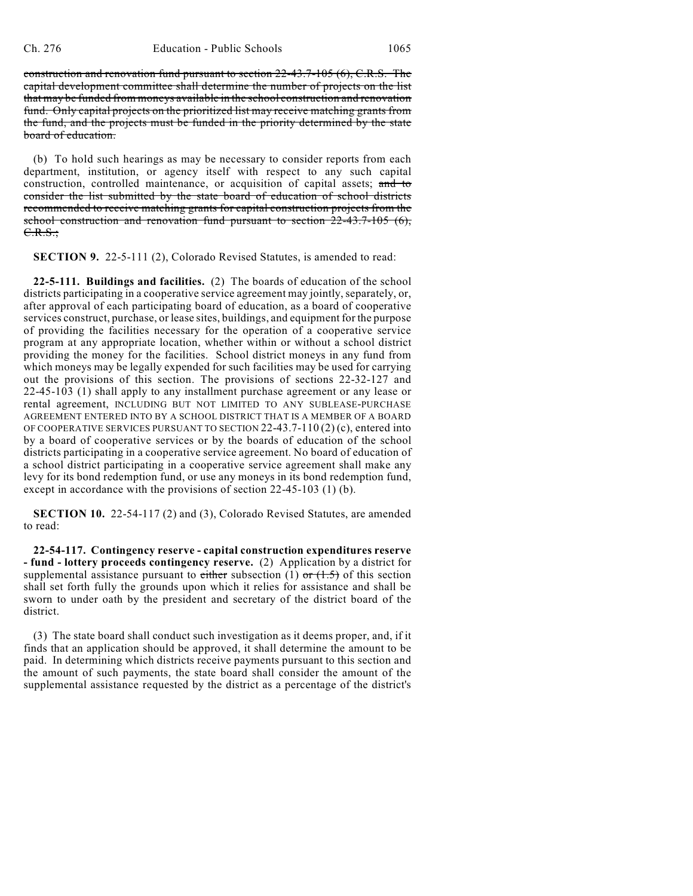construction and renovation fund pursuant to section 22-43.7-105 (6), C.R.S. The capital development committee shall determine the number of projects on the list that may be funded from moneys available in the school construction and renovation fund. Only capital projects on the prioritized list may receive matching grants from the fund, and the projects must be funded in the priority determined by the state board of education.

(b) To hold such hearings as may be necessary to consider reports from each department, institution, or agency itself with respect to any such capital construction, controlled maintenance, or acquisition of capital assets; and to consider the list submitted by the state board of education of school districts recommended to receive matching grants for capital construction projects from the school construction and renovation fund pursuant to section  $22-43.7-105$  (6), C.R.S.;

**SECTION 9.** 22-5-111 (2), Colorado Revised Statutes, is amended to read:

**22-5-111. Buildings and facilities.** (2) The boards of education of the school districts participating in a cooperative service agreement may jointly, separately, or, after approval of each participating board of education, as a board of cooperative services construct, purchase, or lease sites, buildings, and equipment for the purpose of providing the facilities necessary for the operation of a cooperative service program at any appropriate location, whether within or without a school district providing the money for the facilities. School district moneys in any fund from which moneys may be legally expended for such facilities may be used for carrying out the provisions of this section. The provisions of sections 22-32-127 and 22-45-103 (1) shall apply to any installment purchase agreement or any lease or rental agreement, INCLUDING BUT NOT LIMITED TO ANY SUBLEASE-PURCHASE AGREEMENT ENTERED INTO BY A SCHOOL DISTRICT THAT IS A MEMBER OF A BOARD OF COOPERATIVE SERVICES PURSUANT TO SECTION 22-43.7-110 (2) (c), entered into by a board of cooperative services or by the boards of education of the school districts participating in a cooperative service agreement. No board of education of a school district participating in a cooperative service agreement shall make any levy for its bond redemption fund, or use any moneys in its bond redemption fund, except in accordance with the provisions of section 22-45-103 (1) (b).

**SECTION 10.** 22-54-117 (2) and (3), Colorado Revised Statutes, are amended to read:

**22-54-117. Contingency reserve - capital construction expenditures reserve - fund - lottery proceeds contingency reserve.** (2) Application by a district for supplemental assistance pursuant to either subsection (1) or  $(1.5)$  of this section shall set forth fully the grounds upon which it relies for assistance and shall be sworn to under oath by the president and secretary of the district board of the district.

(3) The state board shall conduct such investigation as it deems proper, and, if it finds that an application should be approved, it shall determine the amount to be paid. In determining which districts receive payments pursuant to this section and the amount of such payments, the state board shall consider the amount of the supplemental assistance requested by the district as a percentage of the district's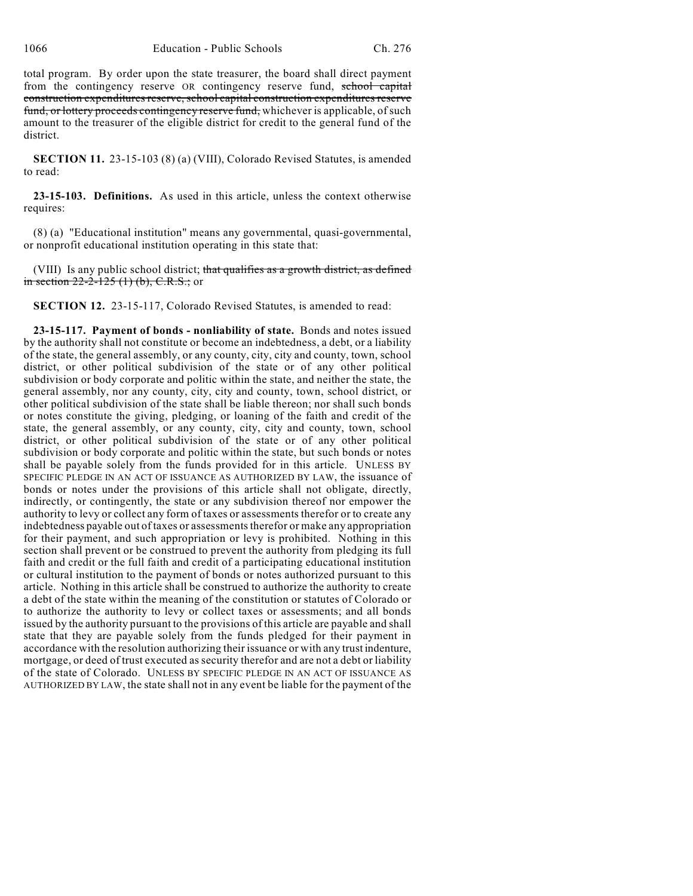total program. By order upon the state treasurer, the board shall direct payment from the contingency reserve OR contingency reserve fund, school capital construction expenditures reserve, school capital construction expenditures reserve fund, or lottery proceeds contingency reserve fund, whichever is applicable, of such amount to the treasurer of the eligible district for credit to the general fund of the district.

**SECTION 11.** 23-15-103 (8) (a) (VIII), Colorado Revised Statutes, is amended to read:

**23-15-103. Definitions.** As used in this article, unless the context otherwise requires:

(8) (a) "Educational institution" means any governmental, quasi-governmental, or nonprofit educational institution operating in this state that:

(VIII) Is any public school district; that qualifies as a growth district, as defined in section  $22-2-125$  (1) (b), C.R.S.; or

**SECTION 12.** 23-15-117, Colorado Revised Statutes, is amended to read:

**23-15-117. Payment of bonds - nonliability of state.** Bonds and notes issued by the authority shall not constitute or become an indebtedness, a debt, or a liability of the state, the general assembly, or any county, city, city and county, town, school district, or other political subdivision of the state or of any other political subdivision or body corporate and politic within the state, and neither the state, the general assembly, nor any county, city, city and county, town, school district, or other political subdivision of the state shall be liable thereon; nor shall such bonds or notes constitute the giving, pledging, or loaning of the faith and credit of the state, the general assembly, or any county, city, city and county, town, school district, or other political subdivision of the state or of any other political subdivision or body corporate and politic within the state, but such bonds or notes shall be payable solely from the funds provided for in this article. UNLESS BY SPECIFIC PLEDGE IN AN ACT OF ISSUANCE AS AUTHORIZED BY LAW, the issuance of bonds or notes under the provisions of this article shall not obligate, directly, indirectly, or contingently, the state or any subdivision thereof nor empower the authority to levy or collect any form of taxes or assessments therefor or to create any indebtedness payable out of taxes or assessments therefor or make any appropriation for their payment, and such appropriation or levy is prohibited. Nothing in this section shall prevent or be construed to prevent the authority from pledging its full faith and credit or the full faith and credit of a participating educational institution or cultural institution to the payment of bonds or notes authorized pursuant to this article. Nothing in this article shall be construed to authorize the authority to create a debt of the state within the meaning of the constitution or statutes of Colorado or to authorize the authority to levy or collect taxes or assessments; and all bonds issued by the authority pursuant to the provisions of this article are payable and shall state that they are payable solely from the funds pledged for their payment in accordance with the resolution authorizing their issuance or with any trust indenture, mortgage, or deed of trust executed as security therefor and are not a debt or liability of the state of Colorado. UNLESS BY SPECIFIC PLEDGE IN AN ACT OF ISSUANCE AS AUTHORIZED BY LAW, the state shall not in any event be liable for the payment of the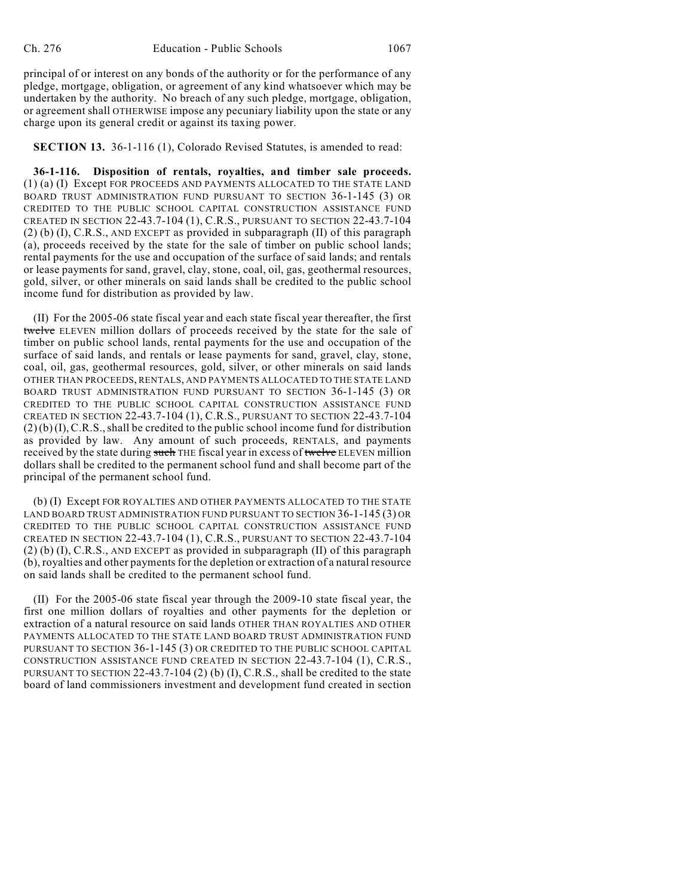principal of or interest on any bonds of the authority or for the performance of any pledge, mortgage, obligation, or agreement of any kind whatsoever which may be undertaken by the authority. No breach of any such pledge, mortgage, obligation, or agreement shall OTHERWISE impose any pecuniary liability upon the state or any charge upon its general credit or against its taxing power.

**SECTION 13.** 36-1-116 (1), Colorado Revised Statutes, is amended to read:

**36-1-116. Disposition of rentals, royalties, and timber sale proceeds.** (1) (a) (I) Except FOR PROCEEDS AND PAYMENTS ALLOCATED TO THE STATE LAND BOARD TRUST ADMINISTRATION FUND PURSUANT TO SECTION 36-1-145 (3) OR CREDITED TO THE PUBLIC SCHOOL CAPITAL CONSTRUCTION ASSISTANCE FUND CREATED IN SECTION 22-43.7-104 (1), C.R.S., PURSUANT TO SECTION 22-43.7-104 (2) (b) (I), C.R.S., AND EXCEPT as provided in subparagraph (II) of this paragraph (a), proceeds received by the state for the sale of timber on public school lands; rental payments for the use and occupation of the surface of said lands; and rentals or lease payments for sand, gravel, clay, stone, coal, oil, gas, geothermal resources, gold, silver, or other minerals on said lands shall be credited to the public school income fund for distribution as provided by law.

(II) For the 2005-06 state fiscal year and each state fiscal year thereafter, the first twelve ELEVEN million dollars of proceeds received by the state for the sale of timber on public school lands, rental payments for the use and occupation of the surface of said lands, and rentals or lease payments for sand, gravel, clay, stone, coal, oil, gas, geothermal resources, gold, silver, or other minerals on said lands OTHER THAN PROCEEDS, RENTALS, AND PAYMENTS ALLOCATED TO THE STATE LAND BOARD TRUST ADMINISTRATION FUND PURSUANT TO SECTION 36-1-145 (3) OR CREDITED TO THE PUBLIC SCHOOL CAPITAL CONSTRUCTION ASSISTANCE FUND CREATED IN SECTION 22-43.7-104 (1), C.R.S., PURSUANT TO SECTION 22-43.7-104  $(2)(b)(I), C.R.S., shall be credited to the public school income fund for distribution$ as provided by law. Any amount of such proceeds, RENTALS, and payments received by the state during such THE fiscal year in excess of twelve ELEVEN million dollars shall be credited to the permanent school fund and shall become part of the principal of the permanent school fund.

(b) (I) Except FOR ROYALTIES AND OTHER PAYMENTS ALLOCATED TO THE STATE LAND BOARD TRUST ADMINISTRATION FUND PURSUANT TO SECTION 36-1-145 (3) OR CREDITED TO THE PUBLIC SCHOOL CAPITAL CONSTRUCTION ASSISTANCE FUND CREATED IN SECTION 22-43.7-104 (1), C.R.S., PURSUANT TO SECTION 22-43.7-104 (2) (b) (I), C.R.S., AND EXCEPT as provided in subparagraph (II) of this paragraph (b), royalties and other payments for the depletion or extraction of a natural resource on said lands shall be credited to the permanent school fund.

(II) For the 2005-06 state fiscal year through the 2009-10 state fiscal year, the first one million dollars of royalties and other payments for the depletion or extraction of a natural resource on said lands OTHER THAN ROYALTIES AND OTHER PAYMENTS ALLOCATED TO THE STATE LAND BOARD TRUST ADMINISTRATION FUND PURSUANT TO SECTION 36-1-145 (3) OR CREDITED TO THE PUBLIC SCHOOL CAPITAL CONSTRUCTION ASSISTANCE FUND CREATED IN SECTION 22-43.7-104 (1), C.R.S., PURSUANT TO SECTION 22-43.7-104 (2) (b) (I), C.R.S., shall be credited to the state board of land commissioners investment and development fund created in section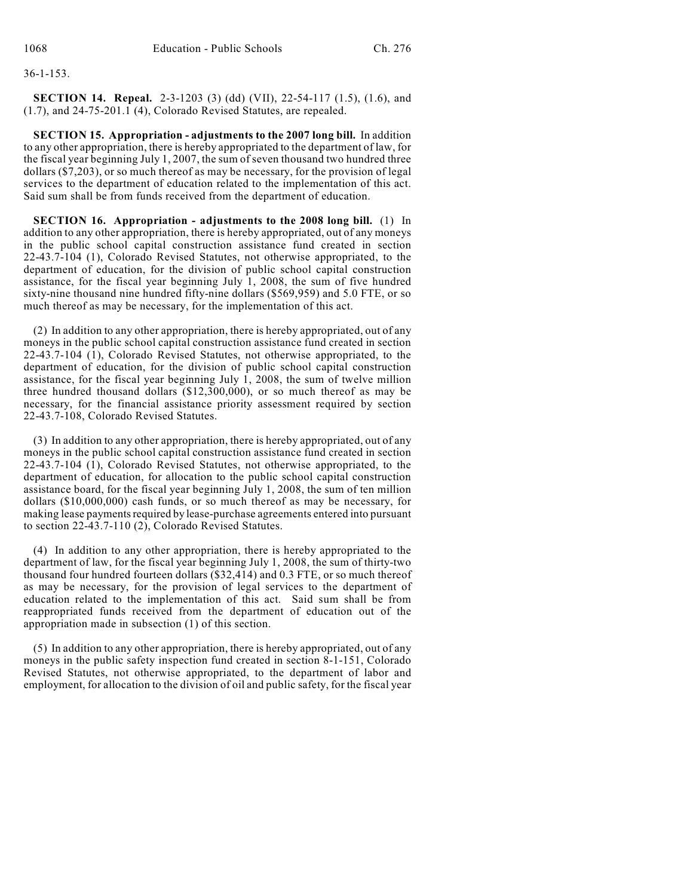# 36-1-153.

**SECTION 14. Repeal.** 2-3-1203 (3) (dd) (VII), 22-54-117 (1.5), (1.6), and (1.7), and 24-75-201.1 (4), Colorado Revised Statutes, are repealed.

**SECTION 15. Appropriation - adjustments to the 2007 long bill.** In addition to any other appropriation, there is hereby appropriated to the department of law, for the fiscal year beginning July 1, 2007, the sum of seven thousand two hundred three dollars (\$7,203), or so much thereof as may be necessary, for the provision of legal services to the department of education related to the implementation of this act. Said sum shall be from funds received from the department of education.

**SECTION 16. Appropriation - adjustments to the 2008 long bill.** (1) In addition to any other appropriation, there is hereby appropriated, out of any moneys in the public school capital construction assistance fund created in section 22-43.7-104 (1), Colorado Revised Statutes, not otherwise appropriated, to the department of education, for the division of public school capital construction assistance, for the fiscal year beginning July 1, 2008, the sum of five hundred sixty-nine thousand nine hundred fifty-nine dollars (\$569,959) and 5.0 FTE, or so much thereof as may be necessary, for the implementation of this act.

(2) In addition to any other appropriation, there is hereby appropriated, out of any moneys in the public school capital construction assistance fund created in section 22-43.7-104 (1), Colorado Revised Statutes, not otherwise appropriated, to the department of education, for the division of public school capital construction assistance, for the fiscal year beginning July  $\hat{1}$ , 2008, the sum of twelve million three hundred thousand dollars (\$12,300,000), or so much thereof as may be necessary, for the financial assistance priority assessment required by section 22-43.7-108, Colorado Revised Statutes.

(3) In addition to any other appropriation, there is hereby appropriated, out of any moneys in the public school capital construction assistance fund created in section 22-43.7-104 (1), Colorado Revised Statutes, not otherwise appropriated, to the department of education, for allocation to the public school capital construction assistance board, for the fiscal year beginning July 1, 2008, the sum of ten million dollars (\$10,000,000) cash funds, or so much thereof as may be necessary, for making lease payments required by lease-purchase agreements entered into pursuant to section 22-43.7-110 (2), Colorado Revised Statutes.

(4) In addition to any other appropriation, there is hereby appropriated to the department of law, for the fiscal year beginning July 1, 2008, the sum of thirty-two thousand four hundred fourteen dollars (\$32,414) and 0.3 FTE, or so much thereof as may be necessary, for the provision of legal services to the department of education related to the implementation of this act. Said sum shall be from reappropriated funds received from the department of education out of the appropriation made in subsection (1) of this section.

(5) In addition to any other appropriation, there is hereby appropriated, out of any moneys in the public safety inspection fund created in section 8-1-151, Colorado Revised Statutes, not otherwise appropriated, to the department of labor and employment, for allocation to the division of oil and public safety, for the fiscal year